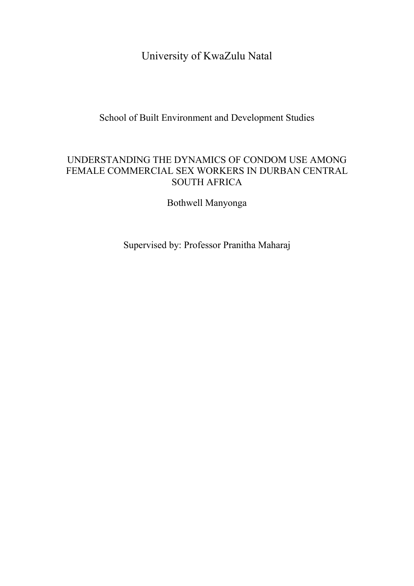University of KwaZulu Natal

School of Built Environment and Development Studies

## UNDERSTANDING THE DYNAMICS OF CONDOM USE AMONG FEMALE COMMERCIAL SEX WORKERS IN DURBAN CENTRAL SOUTH AFRICA

Bothwell Manyonga

Supervised by: Professor Pranitha Maharaj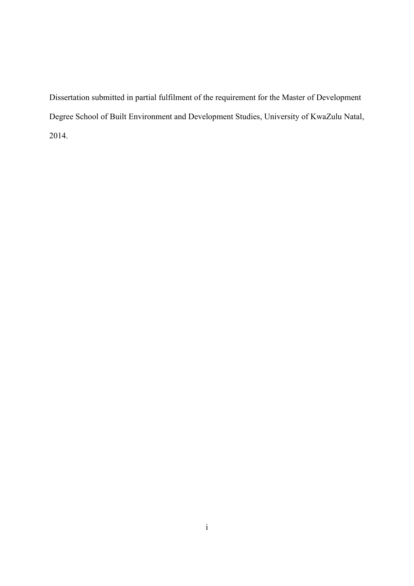Dissertation submitted in partial fulfilment of the requirement for the Master of Development Degree School of Built Environment and Development Studies, University of KwaZulu Natal, 2014.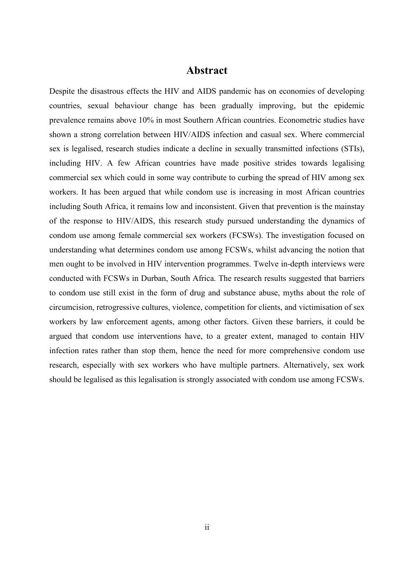## **Abstract**

<span id="page-2-0"></span>Despite the disastrous effects the HIV and AIDS pandemic has on economies of developing countries, sexual behaviour change has been gradually improving, but the epidemic prevalence remains above 10% in most Southern African countries. Econometric studies have shown a strong correlation between HIV/AIDS infection and casual sex. Where commercial sex is legalised, research studies indicate a decline in sexually transmitted infections (STIs), including HIV. A few African countries have made positive strides towards legalising commercial sex which could in some way contribute to curbing the spread of HIV among sex workers. It has been argued that while condom use is increasing in most African countries including South Africa, it remains low and inconsistent. Given that prevention is the mainstay of the response to HIV/AIDS, this research study pursued understanding the dynamics of condom use among female commercial sex workers (FCSWs). The investigation focused on understanding what determines condom use among FCSWs, whilst advancing the notion that men ought to be involved in HIV intervention programmes. Twelve in-depth interviews were conducted with FCSWs in Durban, South Africa. The research results suggested that barriers to condom use still exist in the form of drug and substance abuse, myths about the role of circumcision, retrogressive cultures, violence, competition for clients, and victimisation of sex workers by law enforcement agents, among other factors. Given these barriers, it could be argued that condom use interventions have, to a greater extent, managed to contain HIV infection rates rather than stop them, hence the need for more comprehensive condom use research, especially with sex workers who have multiple partners. Alternatively, sex work should be legalised as this legalisation is strongly associated with condom use among FCSWs.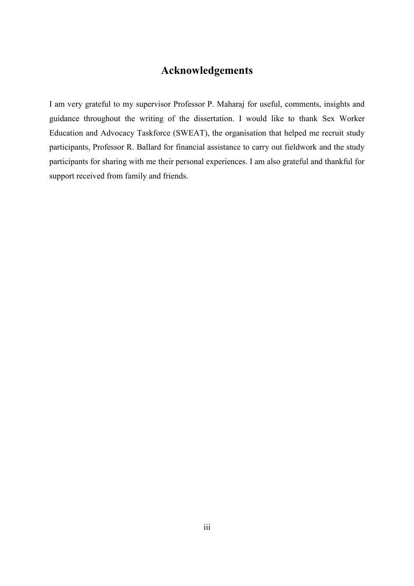## **Acknowledgements**

<span id="page-3-0"></span>I am very grateful to my supervisor Professor P. Maharaj for useful, comments, insights and guidance throughout the writing of the dissertation. I would like to thank Sex Worker Education and Advocacy Taskforce (SWEAT), the organisation that helped me recruit study participants, Professor R. Ballard for financial assistance to carry out fieldwork and the study participants for sharing with me their personal experiences. I am also grateful and thankful for support received from family and friends.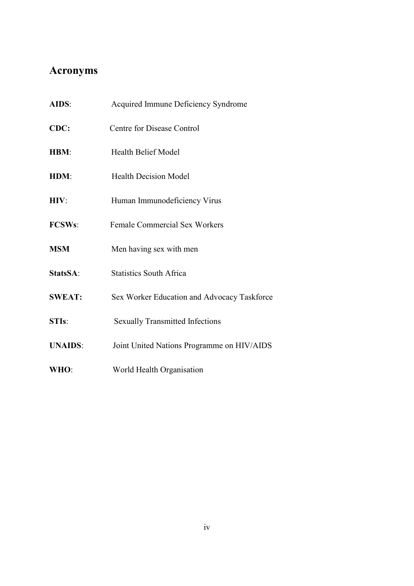# <span id="page-4-0"></span>**Acronyms**

| AIDS:              | Acquired Immune Deficiency Syndrome         |
|--------------------|---------------------------------------------|
| CDC:               | Centre for Disease Control                  |
| <b>HBM:</b>        | <b>Health Belief Model</b>                  |
| HDM:               | <b>Health Decision Model</b>                |
| HIV:               | Human Immunodeficiency Virus                |
| <b>FCSWs:</b>      | <b>Female Commercial Sex Workers</b>        |
| <b>MSM</b>         | Men having sex with men                     |
| StatsSA:           | <b>Statistics South Africa</b>              |
| <b>SWEAT:</b>      | Sex Worker Education and Advocacy Taskforce |
| STI <sub>s</sub> : | <b>Sexually Transmitted Infections</b>      |
| <b>UNAIDS:</b>     | Joint United Nations Programme on HIV/AIDS  |
| WHO:               | World Health Organisation                   |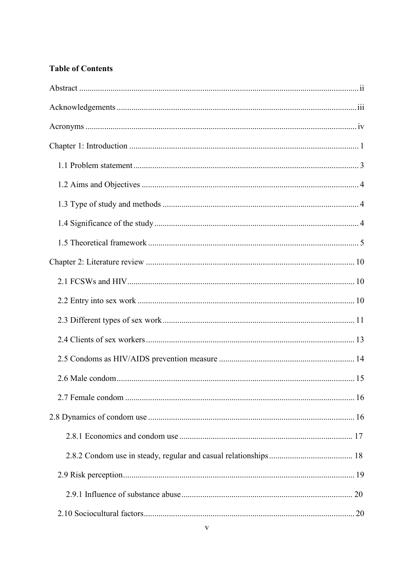## **Table of Contents**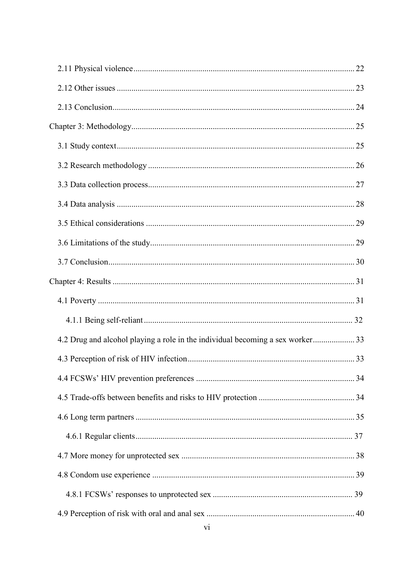| 4.2 Drug and alcohol playing a role in the individual becoming a sex worker 33 |  |
|--------------------------------------------------------------------------------|--|
|                                                                                |  |
|                                                                                |  |
|                                                                                |  |
|                                                                                |  |
|                                                                                |  |
|                                                                                |  |
|                                                                                |  |
|                                                                                |  |
|                                                                                |  |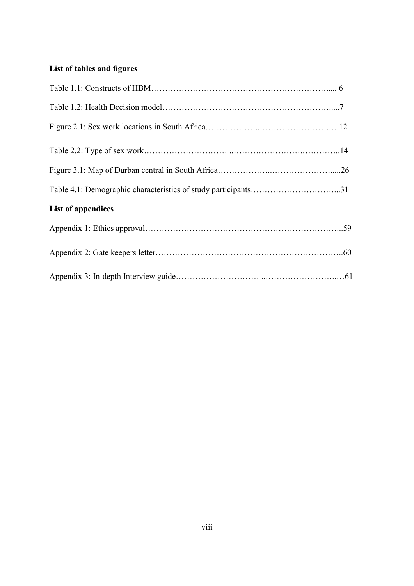# **List of tables and figures**

| <b>List of appendices</b> |  |
|---------------------------|--|
|                           |  |
|                           |  |
|                           |  |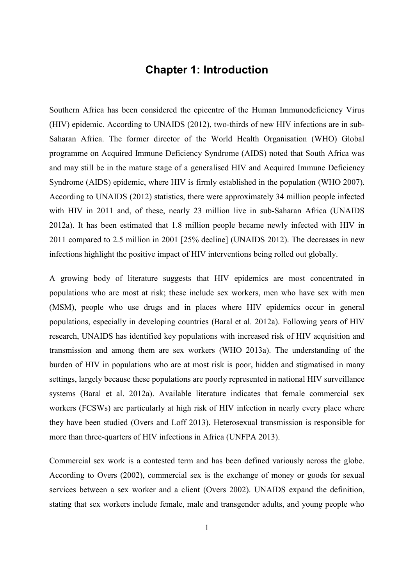## **Chapter 1: Introduction**

<span id="page-9-0"></span>Southern Africa has been considered the epicentre of the Human Immunodeficiency Virus (HIV) epidemic. According to UNAIDS (2012), two-thirds of new HIV infections are in sub-Saharan Africa. The former director of the World Health Organisation (WHO) Global programme on Acquired Immune Deficiency Syndrome (AIDS) noted that South Africa was and may still be in the mature stage of a generalised HIV and Acquired Immune Deficiency Syndrome (AIDS) epidemic, where HIV is firmly established in the population (WHO 2007). According to UNAIDS (2012) statistics, there were approximately 34 million people infected with HIV in 2011 and, of these, nearly 23 million live in sub-Saharan Africa (UNAIDS 2012a). It has been estimated that 1.8 million people became newly infected with HIV in 2011 compared to 2.5 million in 2001 [25% decline] [\(UNAIDS 2012\)](#page-64-0). The decreases in new infections highlight the positive impact of HIV interventions being rolled out globally.

A growing body of literature suggests that HIV epidemics are most concentrated in populations who are most at risk; these include sex workers, men who have sex with men (MSM), people who use drugs and in places where HIV epidemics occur in general populations, especially in developing countries [\(Baral et al. 2012a\)](#page-61-0). Following years of HIV research, UNAIDS has identified key populations with increased risk of HIV acquisition and transmission and among them are sex workers [\(WHO 2013a](#page-66-0)). The understanding of the burden of HIV in populations who are at most risk is poor, hidden and stigmatised in many settings, largely because these populations are poorly represented in national HIV surveillance systems [\(Baral et al. 2012a\)](#page-61-0). Available literature indicates that female commercial sex workers (FCSWs) are particularly at high risk of HIV infection in nearly every place where they have been studied [\(Overs and Loff 2013\)](#page-61-1). Heterosexual transmission is responsible for more than three-quarters of HIV infections in Africa (UNFPA 2013).

Commercial sex work is a contested term and has been defined variously across the globe. According to Overs (2002), commercial sex is the exchange of money or goods for sexual services between a sex worker and a client [\(Overs 2002\)](#page-62-0). UNAIDS expand the definition, stating that sex workers include female, male and transgender adults, and young people who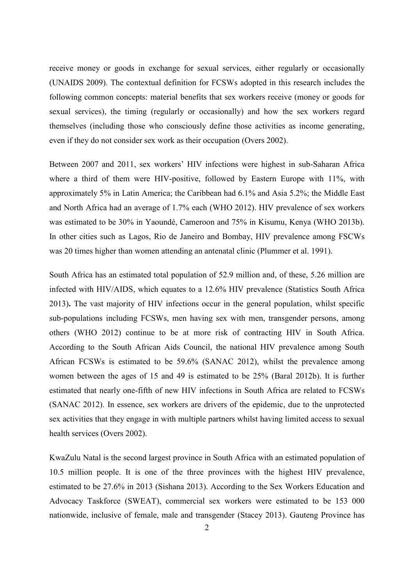receive money or goods in exchange for sexual services, either regularly or occasionally (UNAIDS 2009). The contextual definition for FCSWs adopted in this research includes the following common concepts: material benefits that sex workers receive (money or goods for sexual services), the timing (regularly or occasionally) and how the sex workers regard themselves (including those who consciously define those activities as income generating, even if they do not consider sex work as their occupation [\(Overs 2002\)](#page-62-0).

Between 2007 and 2011, sex workers' HIV infections were highest in sub-Saharan Africa where a third of them were HIV-positive, followed by Eastern Europe with 11%, with approximately 5% in Latin America; the Caribbean had 6.1% and Asia 5.2%; the Middle East and North Africa had an average of 1.7% each [\(WHO 2012\)](#page-65-0). HIV prevalence of sex workers was estimated to be 30% in Yaoundé, Cameroon and 75% in Kisumu, Kenya [\(WHO 2013b](#page-66-0)). In other cities such as Lagos, Rio de Janeiro and Bombay, HIV prevalence among FSCWs was 20 times higher than women attending an antenatal clinic [\(Plummer et al. 1991\)](#page-63-0).

South Africa has an estimated total population of 52.9 million and, of these, 5.26 million are infected with HIV/AIDS, which equates to a 12.6% HIV prevalence (Statistics South Africa 2013)**.** The vast majority of HIV infections occur in the general population, whilst specific sub-populations including FCSWs, men having sex with men, transgender persons, among others [\(WHO 2012\)](#page-65-0) continue to be at more risk of contracting HIV in South Africa. According to the South African Aids Council, the national HIV prevalence among South African FCSWs is estimated to be 59.6% [\(SANAC 2012\)](#page-63-1), whilst the prevalence among women between the ages of 15 and 49 is estimated to be 25% [\(Baral 2012b\)](#page-61-2). It is further estimated that nearly one-fifth of new HIV infections in South Africa are related to FCSWs (SANAC 2012). In essence, sex workers are drivers of the epidemic, due to the unprotected sex activities that they engage in with multiple partners whilst having limited access to sexual health services (Overs 2002).

KwaZulu Natal is the second largest province in South Africa with an estimated population of 10.5 million people. It is one of the three provinces with the highest HIV prevalence, estimated to be 27.6% in 2013 (Sishana 2013). According to the Sex Workers Education and Advocacy Taskforce (SWEAT), commercial sex workers were estimated to be 153 000 nationwide, inclusive of female, male and transgender [\(Stacey 2013\)](#page-64-1). Gauteng Province has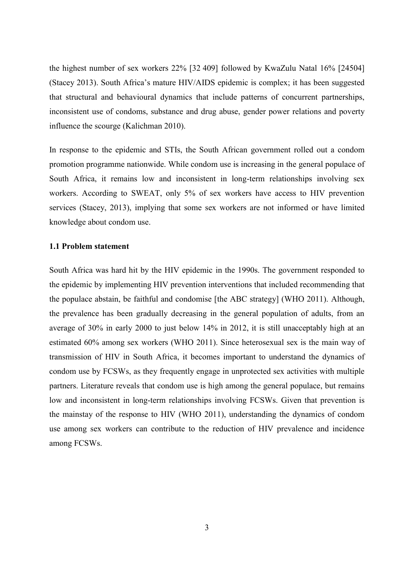the highest number of sex workers 22% [32 409] followed by KwaZulu Natal 16% [24504] [\(Stacey 2013\)](#page-64-1). South Africa's mature HIV/AIDS epidemic is complex; it has been suggested that structural and behavioural dynamics that include patterns of concurrent partnerships, inconsistent use of condoms, substance and drug abuse, gender power relations and poverty influence the scourge (Kalichman 2010).

In response to the epidemic and STIs, the South African government rolled out a condom promotion programme nationwide. While condom use is increasing in the general populace of South Africa, it remains low and inconsistent in long-term relationships involving sex workers. According to SWEAT, only 5% of sex workers have access to HIV prevention services (Stacey, 2013), implying that some sex workers are not informed or have limited knowledge about condom use.

#### <span id="page-11-0"></span>**1.1 Problem statement**

South Africa was hard hit by the HIV epidemic in the 1990s. The government responded to the epidemic by implementing HIV prevention interventions that included recommending that the populace abstain, be faithful and condomise [the ABC strategy] (WHO 2011). Although, the prevalence has been gradually decreasing in the general population of adults, from an average of 30% in early 2000 to just below 14% in 2012, it is still unacceptably high at an estimated 60% among sex workers [\(WHO 2011\)](#page-65-1). Since heterosexual sex is the main way of transmission of HIV in South Africa, it becomes important to understand the dynamics of condom use by FCSWs, as they frequently engage in unprotected sex activities with multiple partners. Literature reveals that condom use is high among the general populace, but remains low and inconsistent in long-term relationships involving FCSWs. Given that prevention is the mainstay of the response to HIV [\(WHO 2011\)](#page-65-1), understanding the dynamics of condom use among sex workers can contribute to the reduction of HIV prevalence and incidence among FCSWs.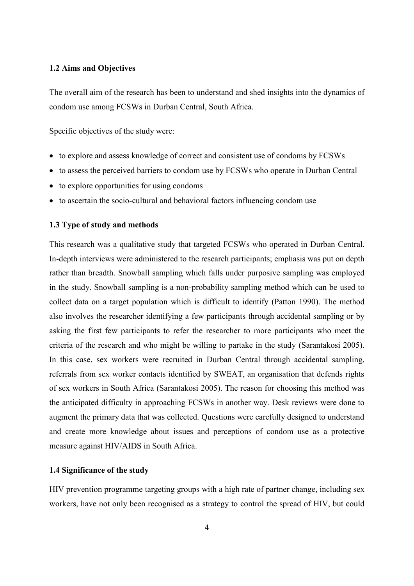### <span id="page-12-0"></span>**1.2 Aims and Objectives**

The overall aim of the research has been to understand and shed insights into the dynamics of condom use among FCSWs in Durban Central, South Africa.

Specific objectives of the study were:

- to explore and assess knowledge of correct and consistent use of condoms by FCSWs
- to assess the perceived barriers to condom use by FCSWs who operate in Durban Central
- to explore opportunities for using condoms
- to ascertain the socio-cultural and behavioral factors influencing condom use

## <span id="page-12-1"></span>**1.3 Type of study and methods**

This research was a qualitative study that targeted FCSWs who operated in Durban Central. In-depth interviews were administered to the research participants; emphasis was put on depth rather than breadth. Snowball sampling which falls under purposive sampling was employed in the study. Snowball sampling is a non-probability sampling method which can be used to collect data on a target population which is difficult to identify [\(Patton 1990\)](#page-63-2). The method also involves the researcher identifying a few participants through accidental sampling or by asking the first few participants to refer the researcher to more participants who meet the criteria of the research and who might be willing to partake in the study [\(Sarantakosi 2005\)](#page-63-3). In this case, sex workers were recruited in Durban Central through accidental sampling, referrals from sex worker contacts identified by SWEAT, an organisation that defends rights of sex workers in South Africa [\(Sarantakosi 2005\)](#page-63-3). The reason for choosing this method was the anticipated difficulty in approaching FCSWs in another way. Desk reviews were done to augment the primary data that was collected. Questions were carefully designed to understand and create more knowledge about issues and perceptions of condom use as a protective measure against HIV/AIDS in South Africa.

### <span id="page-12-2"></span>**1.4 Significance of the study**

HIV prevention programme targeting groups with a high rate of partner change, including sex workers, have not only been recognised as a strategy to control the spread of HIV, but could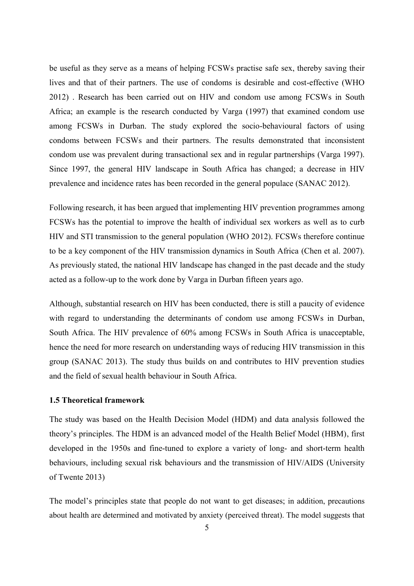be useful as they serve as a means of helping FCSWs practise safe sex, thereby saving their lives and that of their partners. The use of condoms is desirable and cost-effective [\(WHO](#page-65-2)  [2012\)](#page-65-2) . Research has been carried out on HIV and condom use among FCSWs in South Africa; an example is the research conducted by Varga (1997) that examined condom use among FCSWs in Durban. The study explored the socio-behavioural factors of using condoms between FCSWs and their partners. The results demonstrated that inconsistent condom use was prevalent during transactional sex and in regular partnerships [\(Varga 1997\)](#page-65-3). Since 1997, the general HIV landscape in South Africa has changed; a decrease in HIV prevalence and incidence rates has been recorded in the general populace [\(SANAC 2012\)](#page-63-1).

Following research, it has been argued that implementing HIV prevention programmes among FCSWs has the potential to improve the health of individual sex workers as well as to curb HIV and STI transmission to the general population [\(WHO 2012\)](#page-65-0). FCSWs therefore continue to be a key component of the HIV transmission dynamics in South Africa [\(Chen et al. 2007\)](#page-60-0). As previously stated, the national HIV landscape has changed in the past decade and the study acted as a follow-up to the work done by Varga in Durban fifteen years ago.

Although, substantial research on HIV has been conducted, there is still a paucity of evidence with regard to understanding the determinants of condom use among FCSWs in Durban, South Africa. The HIV prevalence of 60% among FCSWs in South Africa is unacceptable, hence the need for more research on understanding ways of reducing HIV transmission in this group (SANAC 2013). The study thus builds on and contributes to HIV prevention studies and the field of sexual health behaviour in South Africa.

### <span id="page-13-0"></span>**1.5 Theoretical framework**

The study was based on the Health Decision Model (HDM) and data analysis followed the theory's principles. The HDM is an advanced model of the Health Belief Model (HBM), first developed in the 1950s and fine-tuned to explore a variety of long- and short-term health behaviours, including sexual risk behaviours and the transmission of HIV/AIDS (University of Twente 2013)

The model's principles state that people do not want to get diseases; in addition, precautions about health are determined and motivated by anxiety (perceived threat). The model suggests that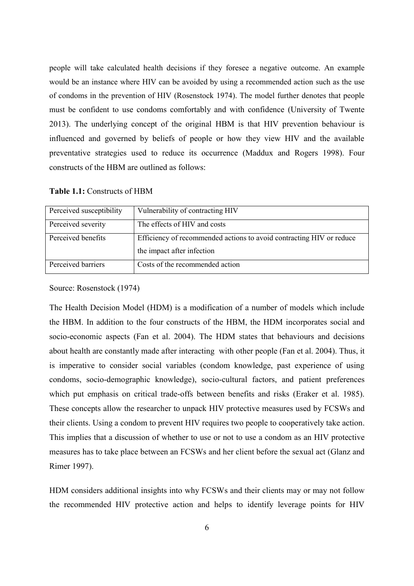people will take calculated health decisions if they foresee a negative outcome. An example would be an instance where HIV can be avoided by using a recommended action such as the use of condoms in the prevention of HIV (Rosenstock 1974). The model further denotes that people must be confident to use condoms comfortably and with confidence [\(University of Twente](#page-65-4)  [2013\)](#page-65-4). The underlying concept of the original HBM is that HIV prevention behaviour is influenced and governed by beliefs of people or how they view HIV and the available preventative strategies used to reduce its occurrence [\(Maddux and Rogers 1998\)](#page-62-1). Four constructs of the HBM are outlined as follows:

| Perceived susceptibility | Vulnerability of contracting HIV                                     |
|--------------------------|----------------------------------------------------------------------|
| Perceived severity       | The effects of HIV and costs                                         |
| Perceived benefits       | Efficiency of recommended actions to avoid contracting HIV or reduce |
|                          | the impact after infection                                           |
| Perceived barriers       | Costs of the recommended action                                      |

**Table 1.1:** Constructs of HBM

Source: Rosenstock (1974)

The Health Decision Model (HDM) is a modification of a number of models which include the HBM. In addition to the four constructs of the HBM, the HDM incorporates social and socio-economic aspects [\(Fan et al. 2004\)](#page-60-1). The HDM states that behaviours and decisions about health are constantly made after interacting with other people [\(Fan et al. 2004\)](#page-60-1). Thus, it is imperative to consider social variables (condom knowledge, past experience of using condoms, socio-demographic knowledge), socio-cultural factors, and patient preferences which put emphasis on critical trade-offs between benefits and risks [\(Eraker et al. 1985\)](#page-60-2). These concepts allow the researcher to unpack HIV protective measures used by FCSWs and their clients. Using a condom to prevent HIV requires two people to cooperatively take action. This implies that a discussion of whether to use or not to use a condom as an HIV protective measures has to take place between an FCSWs and her client before the sexual act [\(Glanz and](#page-61-3)  [Rimer 1997\)](#page-61-3).

HDM considers additional insights into why FCSWs and their clients may or may not follow the recommended HIV protective action and helps to identify leverage points for HIV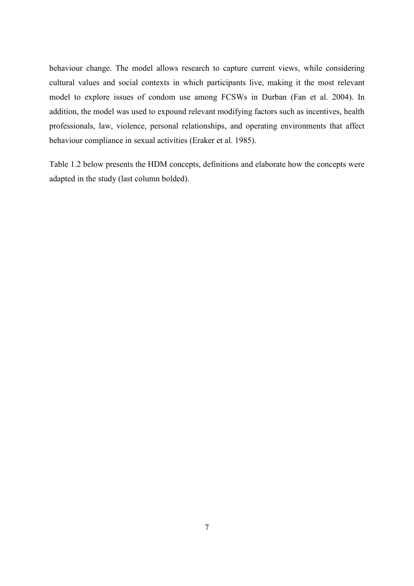behaviour change. The model allows research to capture current views, while considering cultural values and social contexts in which participants live, making it the most relevant model to explore issues of condom use among FCSWs in Durban [\(Fan et al. 2004\)](#page-60-1). In addition, the model was used to expound relevant modifying factors such as incentives, health professionals, law, violence, personal relationships, and operating environments that affect behaviour compliance in sexual activities (Eraker et al. 1985).

Table 1.2 below presents the HDM concepts, definitions and elaborate how the concepts were adapted in the study (last column bolded).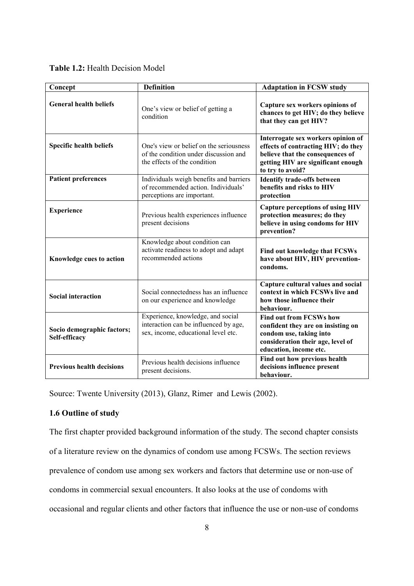| Concept                                     | <b>Definition</b>                                                                                                 | <b>Adaptation in FCSW study</b>                                                                                                                                         |
|---------------------------------------------|-------------------------------------------------------------------------------------------------------------------|-------------------------------------------------------------------------------------------------------------------------------------------------------------------------|
| <b>General health beliefs</b>               | One's view or belief of getting a<br>condition                                                                    | Capture sex workers opinions of<br>chances to get HIV; do they believe<br>that they can get HIV?                                                                        |
| Specific health beliefs                     | One's view or belief on the seriousness<br>of the condition under discussion and<br>the effects of the condition  | Interrogate sex workers opinion of<br>effects of contracting HIV; do they<br>believe that the consequences of<br>getting HIV are significant enough<br>to try to avoid? |
| <b>Patient preferences</b>                  | Individuals weigh benefits and barriers<br>of recommended action. Individuals'<br>perceptions are important.      | <b>Identify trade-offs between</b><br>benefits and risks to HIV<br>protection                                                                                           |
| <b>Experience</b>                           | Previous health experiences influence<br>present decisions                                                        | <b>Capture perceptions of using HIV</b><br>protection measures; do they<br>believe in using condoms for HIV<br>prevention?                                              |
| Knowledge cues to action                    | Knowledge about condition can<br>activate readiness to adopt and adapt<br>recommended actions                     | Find out knowledge that FCSWs<br>have about HIV, HIV prevention-<br>condoms.                                                                                            |
| <b>Social interaction</b>                   | Social connectedness has an influence<br>on our experience and knowledge                                          | Capture cultural values and social<br>context in which FCSWs live and<br>how those influence their<br>behaviour.                                                        |
| Socio demographic factors;<br>Self-efficacy | Experience, knowledge, and social<br>interaction can be influenced by age,<br>sex, income, educational level etc. | <b>Find out from FCSWs how</b><br>confident they are on insisting on<br>condom use, taking into<br>consideration their age, level of<br>education, income etc.          |
| <b>Previous health decisions</b>            | Previous health decisions influence<br>present decisions.                                                         | Find out how previous health<br>decisions influence present<br>behaviour.                                                                                               |

Source: Twente University (2013), Glanz, Rimer and Lewis (2002).

## **1.6 Outline of study**

The first chapter provided background information of the study. The second chapter consists of a literature review on the dynamics of condom use among FCSWs. The section reviews prevalence of condom use among sex workers and factors that determine use or non-use of condoms in commercial sexual encounters. It also looks at the use of condoms with occasional and regular clients and other factors that influence the use or non-use of condoms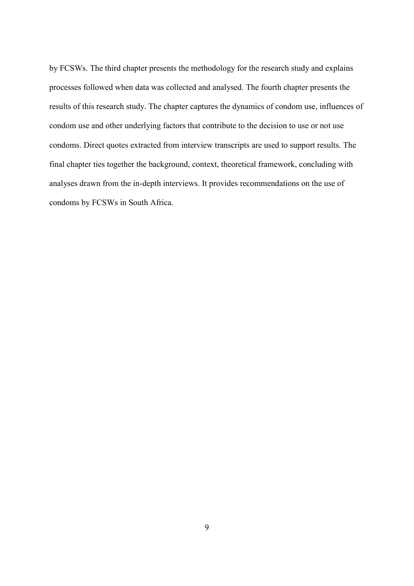by FCSWs. The third chapter presents the methodology for the research study and explains processes followed when data was collected and analysed. The fourth chapter presents the results of this research study. The chapter captures the dynamics of condom use, influences of condom use and other underlying factors that contribute to the decision to use or not use condoms. Direct quotes extracted from interview transcripts are used to support results. The final chapter ties together the background, context, theoretical framework, concluding with analyses drawn from the in-depth interviews. It provides recommendations on the use of condoms by FCSWs in South Africa.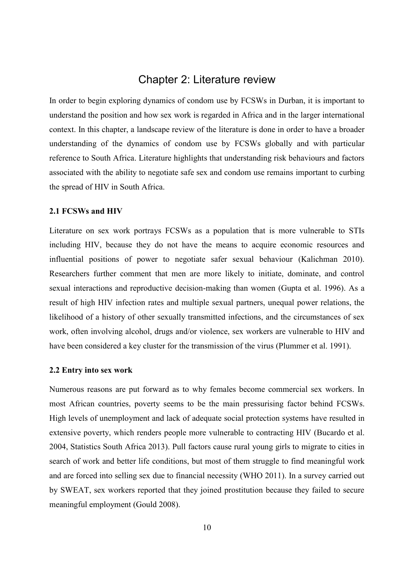## Chapter 2: Literature review

<span id="page-18-0"></span>In order to begin exploring dynamics of condom use by FCSWs in Durban, it is important to understand the position and how sex work is regarded in Africa and in the larger international context. In this chapter, a landscape review of the literature is done in order to have a broader understanding of the dynamics of condom use by FCSWs globally and with particular reference to South Africa. Literature highlights that understanding risk behaviours and factors associated with the ability to negotiate safe sex and condom use remains important to curbing the spread of HIV in South Africa.

### <span id="page-18-1"></span>**2.1 FCSWs and HIV**

Literature on sex work portrays FCSWs as a population that is more vulnerable to STIs including HIV, because they do not have the means to acquire economic resources and influential positions of power to negotiate safer sexual behaviour (Kalichman 2010). Researchers further comment that men are more likely to initiate, dominate, and control sexual interactions and reproductive decision-making than women (Gupta et al. 1996). As a result of high HIV infection rates and multiple sexual partners, unequal power relations, the likelihood of a history of other sexually transmitted infections, and the circumstances of sex work, often involving alcohol, drugs and/or violence, sex workers are vulnerable to HIV and have been considered a key cluster for the transmission of the virus [\(Plummer et al. 1991\)](#page-63-0).

### <span id="page-18-2"></span>**2.2 Entry into sex work**

Numerous reasons are put forward as to why females become commercial sex workers. In most African countries, poverty seems to be the main pressurising factor behind FCSWs. High levels of unemployment and lack of adequate social protection systems have resulted in extensive poverty, which renders people more vulnerable to contracting HIV [\(Bucardo et al.](#page-60-3)  [2004,](#page-60-3) Statistics South Africa 2013). Pull factors cause rural young girls to migrate to cities in search of work and better life conditions, but most of them struggle to find meaningful work and are forced into selling sex due to financial necessity [\(WHO 2011\)](#page-65-1). In a survey carried out by SWEAT, sex workers reported that they joined prostitution because they failed to secure meaningful employment [\(Gould 2008\)](#page-61-2).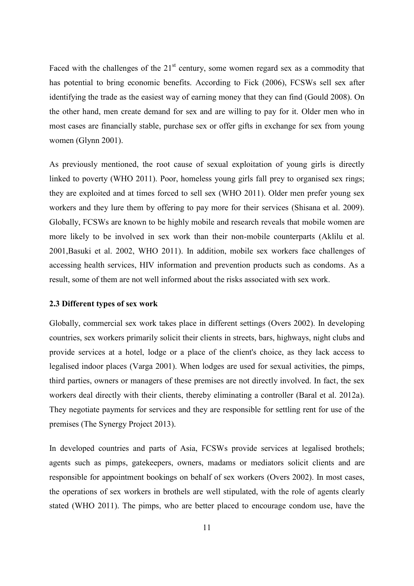Faced with the challenges of the  $21<sup>st</sup>$  century, some women regard sex as a commodity that has potential to bring economic benefits. According to Fick (2006), FCSWs sell sex after identifying the trade as the easiest way of earning money that they can find (Gould 2008). On the other hand, men create demand for sex and are willing to pay for it. Older men who in most cases are financially stable, purchase sex or offer gifts in exchange for sex from young women (Glynn 2001).

As previously mentioned, the root cause of sexual exploitation of young girls is directly linked to poverty [\(WHO 2011\)](#page-65-1). Poor, homeless young girls fall prey to organised sex rings; they are exploited and at times forced to sell sex [\(WHO 2011\)](#page-65-1). Older men prefer young sex workers and they lure them by offering to pay more for their services (Shisana et al. 2009). Globally, FCSWs are known to be highly mobile and research reveals that mobile women are more likely to be involved in sex work than their non-mobile counterparts [\(Aklilu et al.](#page-59-1)  [2001,](#page-59-1)[Basuki et al. 2002,](#page-59-2) [WHO 2011\)](#page-65-1). In addition, mobile sex workers face challenges of accessing health services, HIV information and prevention products such as condoms. As a result, some of them are not well informed about the risks associated with sex work.

### <span id="page-19-0"></span>**2.3 Different types of sex work**

Globally, commercial sex work takes place in different settings (Overs 2002). In developing countries, sex workers primarily solicit their clients in streets, bars, highways, night clubs and provide services at a hotel, lodge or a place of the client's choice, as they lack access to legalised indoor places [\(Varga 2001\)](#page-65-5). When lodges are used for sexual activities, the pimps, third parties, owners or managers of these premises are not directly involved. In fact, the sex workers deal directly with their clients, thereby eliminating a controller [\(Baral et al. 2012a\)](#page-61-0). They negotiate payments for services and they are responsible for settling rent for use of the premises [\(The Synergy Project 2013\)](#page-64-2).

In developed countries and parts of Asia, FCSWs provide services at legalised brothels; agents such as pimps, gatekeepers, owners, madams or mediators solicit clients and are responsible for appointment bookings on behalf of sex workers (Overs 2002). In most cases, the operations of sex workers in brothels are well stipulated, with the role of agents clearly stated [\(WHO 2011\)](#page-65-1). The pimps, who are better placed to encourage condom use, have the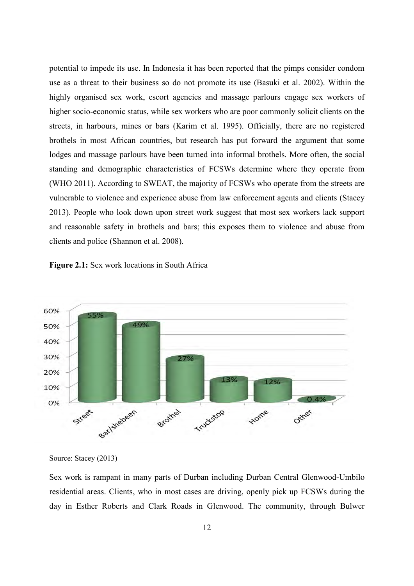potential to impede its use. In Indonesia it has been reported that the pimps consider condom use as a threat to their business so do not promote its use [\(Basuki et al. 2002\)](#page-59-2). Within the highly organised sex work, escort agencies and massage parlours engage sex workers of higher socio-economic status, while sex workers who are poor commonly solicit clients on the streets, in harbours, mines or bars [\(Karim et al. 1995\)](#page-61-4). Officially, there are no registered brothels in most African countries, but research has put forward the argument that some lodges and massage parlours have been turned into informal brothels. More often, the social standing and demographic characteristics of FCSWs determine where they operate from [\(WHO 2011\)](#page-65-1). According to SWEAT, the majority of FCSWs who operate from the streets are vulnerable to violence and experience abuse from law enforcement agents and clients [\(Stacey](#page-64-1)  [2013\)](#page-64-1). People who look down upon street work suggest that most sex workers lack support and reasonable safety in brothels and bars; this exposes them to violence and abuse from clients and police [\(Shannon et al. 2008\)](#page-64-3).





Source: Stacey (2013)

Sex work is rampant in many parts of Durban including Durban Central Glenwood-Umbilo residential areas. Clients, who in most cases are driving, openly pick up FCSWs during the day in Esther Roberts and Clark Roads in Glenwood. The community, through Bulwer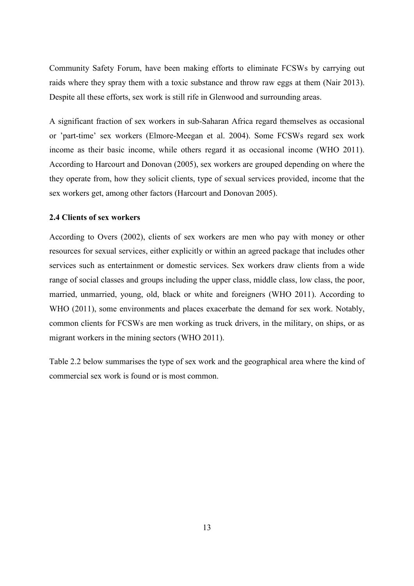Community Safety Forum, have been making efforts to eliminate FCSWs by carrying out raids where they spray them with a toxic substance and throw raw eggs at them (Nair 2013). Despite all these efforts, sex work is still rife in Glenwood and surrounding areas.

A significant fraction of sex workers in sub-Saharan Africa regard themselves as occasional or 'part-time' sex workers [\(Elmore-Meegan et al. 2004\)](#page-60-4). Some FCSWs regard sex work income as their basic income, while others regard it as occasional income [\(WHO 2011\)](#page-65-1). According to Harcourt and Donovan (2005), sex workers are grouped depending on where the they operate from, how they solicit clients, type of sexual services provided, income that the sex workers get, among other factors (Harcourt and Donovan 2005).

### <span id="page-21-0"></span>**2.4 Clients of sex workers**

According to Overs (2002), clients of sex workers are men who pay with money or other resources for sexual services, either explicitly or within an agreed package that includes other services such as entertainment or domestic services. Sex workers draw clients from a wide range of social classes and groups including the upper class, middle class, low class, the poor, married, unmarried, young, old, black or white and foreigners [\(WHO 2011\)](#page-65-1). According to WHO (2011), some environments and places exacerbate the demand for sex work. Notably, common clients for FCSWs are men working as truck drivers, in the military, on ships, or as migrant workers in the mining sectors [\(WHO 2011\)](#page-65-1).

Table 2.2 below summarises the type of sex work and the geographical area where the kind of commercial sex work is found or is most common.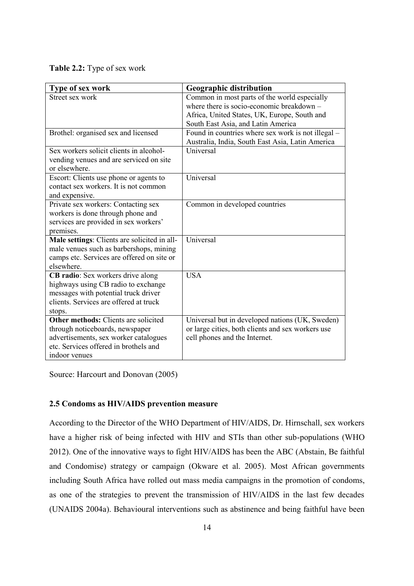**Table 2.2:** Type of sex work

| Type of sex work                             | <b>Geographic distribution</b>                     |
|----------------------------------------------|----------------------------------------------------|
| Street sex work                              | Common in most parts of the world especially       |
|                                              | where there is socio-economic breakdown -          |
|                                              | Africa, United States, UK, Europe, South and       |
|                                              | South East Asia, and Latin America                 |
| Brothel: organised sex and licensed          | Found in countries where sex work is not illegal – |
|                                              | Australia, India, South East Asia, Latin America   |
| Sex workers solicit clients in alcohol-      | Universal                                          |
| vending venues and are serviced on site      |                                                    |
| or elsewhere.                                |                                                    |
| Escort: Clients use phone or agents to       | Universal                                          |
| contact sex workers. It is not common        |                                                    |
| and expensive.                               |                                                    |
| Private sex workers: Contacting sex          | Common in developed countries                      |
| workers is done through phone and            |                                                    |
| services are provided in sex workers'        |                                                    |
| premises.                                    |                                                    |
| Male settings: Clients are solicited in all- | Universal                                          |
| male venues such as barbershops, mining      |                                                    |
| camps etc. Services are offered on site or   |                                                    |
| elsewhere.                                   |                                                    |
| CB radio: Sex workers drive along            | <b>USA</b>                                         |
| highways using CB radio to exchange          |                                                    |
| messages with potential truck driver         |                                                    |
| clients. Services are offered at truck       |                                                    |
| stops.                                       |                                                    |
| <b>Other methods:</b> Clients are solicited  | Universal but in developed nations (UK, Sweden)    |
| through noticeboards, newspaper              | or large cities, both clients and sex workers use  |
| advertisements, sex worker catalogues        | cell phones and the Internet.                      |
| etc. Services offered in brothels and        |                                                    |
| indoor venues                                |                                                    |

Source: Harcourt and Donovan (2005)

## <span id="page-22-0"></span>**2.5 Condoms as HIV/AIDS prevention measure**

According to the Director of the WHO Department of HIV/AIDS, Dr. Hirnschall, sex workers have a higher risk of being infected with HIV and STIs than other sub-populations [\(WHO](#page-65-0)  [2012\)](#page-65-0). One of the innovative ways to fight HIV/AIDS has been the ABC (Abstain, Be faithful and Condomise) strategy or campaign (Okware et al. 2005). Most African governments including South Africa have rolled out mass media campaigns in the promotion of condoms, as one of the strategies to prevent the transmission of HIV/AIDS in the last few decades [\(UNAIDS 2004a](#page-64-4)). Behavioural interventions such as abstinence and being faithful have been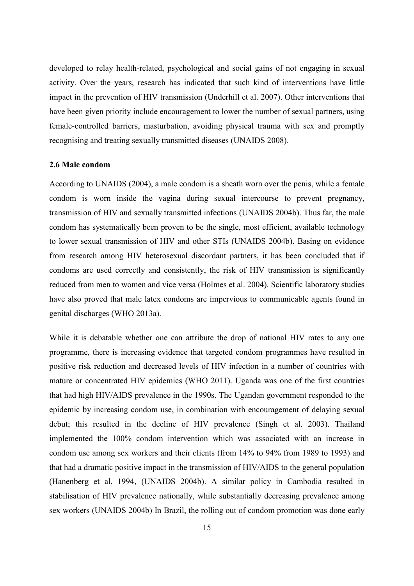developed to relay health-related, psychological and social gains of not engaging in sexual activity. Over the years, research has indicated that such kind of interventions have little impact in the prevention of HIV transmission [\(Underhill et al. 2007\)](#page-65-6). Other interventions that have been given priority include encouragement to lower the number of sexual partners, using female-controlled barriers, masturbation, avoiding physical trauma with sex and promptly recognising and treating sexually transmitted diseases (UNAIDS 2008).

### <span id="page-23-0"></span>**2.6 Male condom**

According to UNAIDS (2004), a male condom is a sheath worn over the penis, while a female condom is worn inside the vagina during sexual intercourse to prevent pregnancy, transmission of HIV and sexually transmitted infections (UNAIDS 2004b). Thus far, the male condom has systematically been proven to be the single, most efficient, available technology to lower sexual transmission of HIV and other STIs (UNAIDS 2004b). Basing on evidence from research among HIV heterosexual discordant partners, it has been concluded that if condoms are used correctly and consistently, the risk of HIV transmission is significantly reduced from men to women and vice versa (Holmes et al. 2004). Scientific laboratory studies have also proved that male latex condoms are impervious to communicable agents found in genital discharges (WHO 2013a).

While it is debatable whether one can attribute the drop of national HIV rates to any one programme, there is increasing evidence that targeted condom programmes have resulted in positive risk reduction and decreased levels of HIV infection in a number of countries with mature or concentrated HIV epidemics [\(WHO 2011\)](#page-65-1). Uganda was one of the first countries that had high HIV/AIDS prevalence in the 1990s. The Ugandan government responded to the epidemic by increasing condom use, in combination with encouragement of delaying sexual debut; this resulted in the decline of HIV prevalence (Singh et al. 2003). Thailand implemented the 100% condom intervention which was associated with an increase in condom use among sex workers and their clients (from 14% to 94% from 1989 to 1993) and that had a dramatic positive impact in the transmission of HIV/AIDS to the general population [\(Hanenberg et al. 1994,](#page-61-5) (UNAIDS 2004b). A similar policy in Cambodia resulted in stabilisation of HIV prevalence nationally, while substantially decreasing prevalence among sex workers (UNAIDS 2004b) In Brazil, the rolling out of condom promotion was done early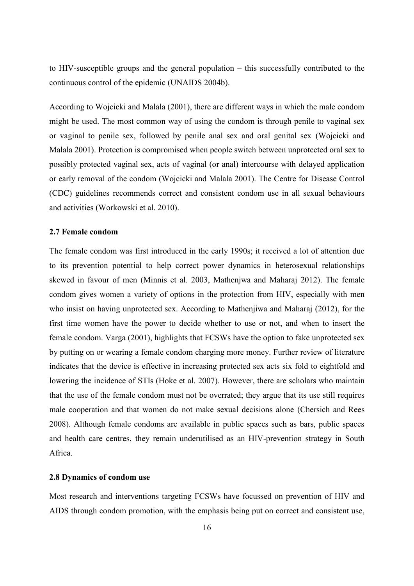to HIV-susceptible groups and the general population – this successfully contributed to the continuous control of the epidemic (UNAIDS 2004b).

According to Wojcicki and Malala (2001), there are different ways in which the male condom might be used. The most common way of using the condom is through penile to vaginal sex or vaginal to penile sex, followed by penile anal sex and oral genital sex (Wojcicki and Malala 2001). Protection is compromised when people switch between unprotected oral sex to possibly protected vaginal sex, acts of vaginal (or anal) intercourse with delayed application or early removal of the condom (Wojcicki and Malala 2001). The Centre for Disease Control (CDC) guidelines recommends correct and consistent condom use in all sexual behaviours and activities (Workowski et al. 2010).

### <span id="page-24-0"></span>**2.7 Female condom**

The female condom was first introduced in the early 1990s; it received a lot of attention due to its prevention potential to help correct power dynamics in heterosexual relationships skewed in favour of men (Minnis et al. 2003, [Mathenjwa and Maharaj 2012\)](#page-62-2). The female condom gives women a variety of options in the protection from HIV, especially with men who insist on having unprotected sex. According to Mathenjiwa and Maharaj (2012), for the first time women have the power to decide whether to use or not, and when to insert the female condom. Varga (2001), highlights that FCSWs have the option to fake unprotected sex by putting on or wearing a female condom charging more money. Further review of literature indicates that the device is effective in increasing protected sex acts six fold to eightfold and lowering the incidence of STIs [\(Hoke et al. 2007\)](#page-61-0). However, there are scholars who maintain that the use of the female condom must not be overrated; they argue that its use still requires male cooperation and that women do not make sexual decisions alone [\(Chersich and Rees](#page-64-5)  [2008\)](#page-64-5). Although female condoms are available in public spaces such as bars, public spaces and health care centres, they remain underutilised as an HIV-prevention strategy in South Africa.

### <span id="page-24-1"></span>**2.8 Dynamics of condom use**

Most research and interventions targeting FCSWs have focussed on prevention of HIV and AIDS through condom promotion, with the emphasis being put on correct and consistent use,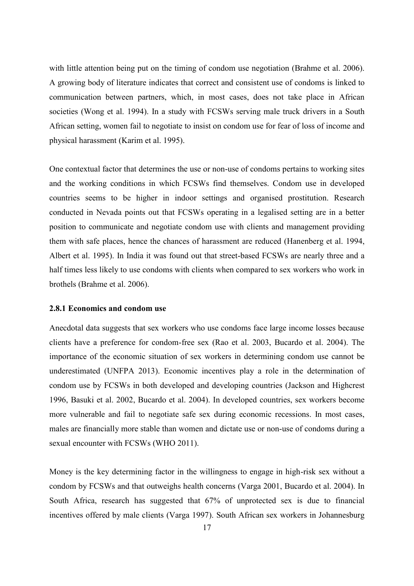with little attention being put on the timing of condom use negotiation [\(Brahme et al. 2006\)](#page-62-3). A growing body of literature indicates that correct and consistent use of condoms is linked to communication between partners, which, in most cases, does not take place in African societies [\(Wong et al. 1994\)](#page-66-1). In a study with FCSWs serving male truck drivers in a South African setting, women fail to negotiate to insist on condom use for fear of loss of income and physical harassment [\(Karim et al. 1995\)](#page-61-4).

One contextual factor that determines the use or non-use of condoms pertains to working sites and the working conditions in which FCSWs find themselves. Condom use in developed countries seems to be higher in indoor settings and organised prostitution. Research conducted in Nevada points out that FCSWs operating in a legalised setting are in a better position to communicate and negotiate condom use with clients and management providing them with safe places, hence the chances of harassment are reduced [\(Hanenberg et al. 1994,](#page-61-5) Albert et al. 1995). In India it was found out that street-based FCSWs are nearly three and a half times less likely to use condoms with clients when compared to sex workers who work in brothels [\(Brahme et al. 2006\)](#page-62-3).

#### <span id="page-25-0"></span>**2.8.1 Economics and condom use**

Anecdotal data suggests that sex workers who use condoms face large income losses because clients have a preference for condom-free sex [\(Rao et al. 2003,](#page-63-4) [Bucardo et al. 2004\)](#page-60-3). The importance of the economic situation of sex workers in determining condom use cannot be underestimated [\(UNFPA 2013\)](#page-65-7). Economic incentives play a role in the determination of condom use by FCSWs in both developed and developing countries [\(Jackson and Highcrest](#page-61-6)  [1996,](#page-61-6) [Basuki et al. 2002,](#page-59-2) [Bucardo et al. 2004\)](#page-60-3). In developed countries, sex workers become more vulnerable and fail to negotiate safe sex during economic recessions. In most cases, males are financially more stable than women and dictate use or non-use of condoms during a sexual encounter with FCSWs [\(WHO 2011\)](#page-65-1).

Money is the key determining factor in the willingness to engage in high-risk sex without a condom by FCSWs and that outweighs health concerns [\(Varga 2001,](#page-65-5) [Bucardo et al. 2004\)](#page-60-3). In South Africa, research has suggested that 67% of unprotected sex is due to financial incentives offered by male clients [\(Varga 1997\)](#page-65-3). South African sex workers in Johannesburg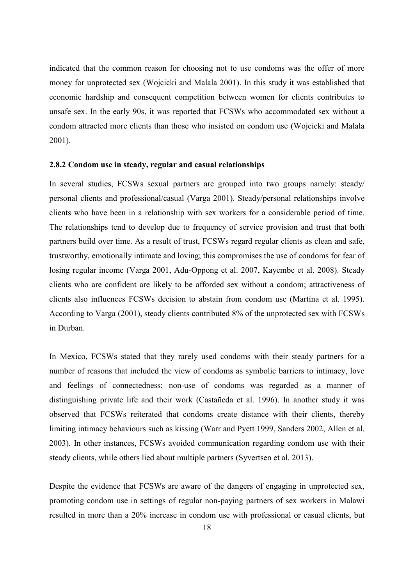indicated that the common reason for choosing not to use condoms was the offer of more money for unprotected sex (Wojcicki and Malala 2001). In this study it was established that economic hardship and consequent competition between women for clients contributes to unsafe sex. In the early 90s, it was reported that FCSWs who accommodated sex without a condom attracted more clients than those who insisted on condom use (Wojcicki and Malala 2001).

### <span id="page-26-0"></span>**2.8.2 Condom use in steady, regular and casual relationships**

In several studies, FCSWs sexual partners are grouped into two groups namely: steady/ personal clients and professional/casual [\(Varga 2001\)](#page-65-5). Steady/personal relationships involve clients who have been in a relationship with sex workers for a considerable period of time. The relationships tend to develop due to frequency of service provision and trust that both partners build over time. As a result of trust, FCSWs regard regular clients as clean and safe, trustworthy, emotionally intimate and loving; this compromises the use of condoms for fear of losing regular income [\(Varga 2001,](#page-65-5) [Adu-Oppong et al. 2007,](#page-59-3) [Kayembe et al. 2008\)](#page-61-7). Steady clients who are confident are likely to be afforded sex without a condom; attractiveness of clients also influences FCSWs decision to abstain from condom use [\(Martina et al. 1995\)](#page-62-4). According to Varga (2001), steady clients contributed 8% of the unprotected sex with FCSWs in Durban.

In Mexico, FCSWs stated that they rarely used condoms with their steady partners for a number of reasons that included the view of condoms as symbolic barriers to intimacy, love and feelings of connectedness; non-use of condoms was regarded as a manner of distinguishing private life and their work [\(Castañeda et al. 1996\)](#page-61-2). In another study it was observed that FCSWs reiterated that condoms create distance with their clients, thereby limiting intimacy behaviours such as kissing [\(Warr and Pyett 1999,](#page-65-8) Sanders 2002, [Allen et al.](#page-60-5)  [2003\)](#page-60-5). In other instances, FCSWs avoided communication regarding condom use with their steady clients, while others lied about multiple partners (Syvertsen et al. 2013).

Despite the evidence that FCSWs are aware of the dangers of engaging in unprotected sex, promoting condom use in settings of regular non-paying partners of sex workers in Malawi resulted in more than a 20% increase in condom use with professional or casual clients, but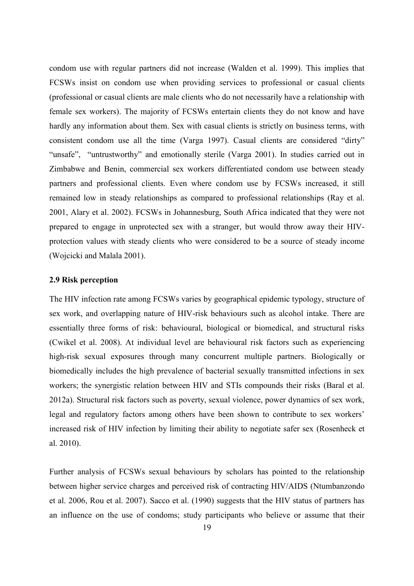condom use with regular partners did not increase (Walden et al. 1999). This implies that FCSWs insist on condom use when providing services to professional or casual clients (professional or casual clients are male clients who do not necessarily have a relationship with female sex workers). The majority of FCSWs entertain clients they do not know and have hardly any information about them. Sex with casual clients is strictly on business terms, with consistent condom use all the time [\(Varga 1997\)](#page-65-3). Casual clients are considered "dirty" "unsafe", "untrustworthy" and emotionally sterile [\(Varga 2001\)](#page-65-5). In studies carried out in Zimbabwe and Benin, commercial sex workers differentiated condom use between steady partners and professional clients. Even where condom use by FCSWs increased, it still remained low in steady relationships as compared to professional relationships (Ray et al. 2001, [Alary et al. 2002\)](#page-59-4). FCSWs in Johannesburg, South Africa indicated that they were not prepared to engage in unprotected sex with a stranger, but would throw away their HIVprotection values with steady clients who were considered to be a source of steady income (Wojcicki and Malala 2001).

### <span id="page-27-0"></span>**2.9 Risk perception**

The HIV infection rate among FCSWs varies by geographical epidemic typology, structure of sex work, and overlapping nature of HIV-risk behaviours such as alcohol intake. There are essentially three forms of risk: behavioural, biological or biomedical, and structural risks (Cwikel et al. 2008). At individual level are behavioural risk factors such as experiencing high-risk sexual exposures through many concurrent multiple partners. Biologically or biomedically includes the high prevalence of bacterial sexually transmitted infections in sex workers; the synergistic relation between HIV and STIs compounds their risks [\(Baral et al.](#page-61-0)  [2012a\)](#page-61-0). Structural risk factors such as poverty, sexual violence, power dynamics of sex work, legal and regulatory factors among others have been shown to contribute to sex workers' increased risk of HIV infection by limiting their ability to negotiate safer sex [\(Rosenheck et](#page-63-5)  [al. 2010\)](#page-63-5).

Further analysis of FCSWs sexual behaviours by scholars has pointed to the relationship between higher service charges and perceived risk of contracting HIV/AIDS [\(Ntumbanzondo](#page-62-5)  [et al. 2006,](#page-62-5) [Rou et al. 2007\)](#page-63-6). Sacco et al. (1990) suggests that the HIV status of partners has an influence on the use of condoms; study participants who believe or assume that their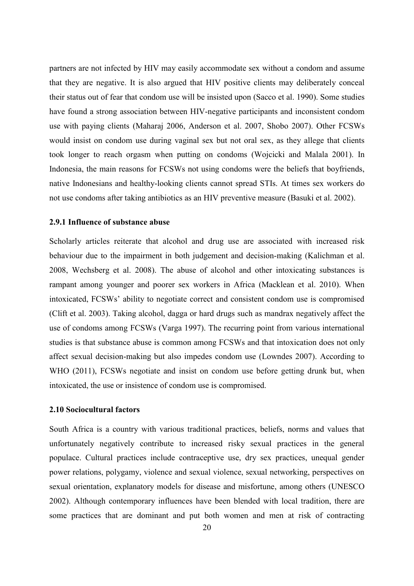partners are not infected by HIV may easily accommodate sex without a condom and assume that they are negative. It is also argued that HIV positive clients may deliberately conceal their status out of fear that condom use will be insisted upon [\(Sacco et al. 1990\)](#page-63-7). Some studies have found a strong association between HIV-negative participants and inconsistent condom use with paying clients [\(Maharaj 2006,](#page-62-6) [Anderson et al. 2007,](#page-59-5) [Shobo 2007\)](#page-64-6). Other FCSWs would insist on condom use during vaginal sex but not oral sex, as they allege that clients took longer to reach orgasm when putting on condoms (Wojcicki and Malala 2001). In Indonesia, the main reasons for FCSWs not using condoms were the beliefs that boyfriends, native Indonesians and healthy-looking clients cannot spread STIs. At times sex workers do not use condoms after taking antibiotics as an HIV preventive measure [\(Basuki et al. 2002\)](#page-59-2).

### <span id="page-28-0"></span>**2.9.1 Influence of substance abuse**

Scholarly articles reiterate that alcohol and drug use are associated with increased risk behaviour due to the impairment in both judgement and decision-making [\(Kalichman et al.](#page-61-8)  [2008,](#page-61-8) [Wechsberg et al. 2008\)](#page-65-9). The abuse of alcohol and other intoxicating substances is rampant among younger and poorer sex workers in Africa (Macklean et al. 2010). When intoxicated, FCSWs' ability to negotiate correct and consistent condom use is compromised [\(Clift et al. 2003\)](#page-60-6). Taking alcohol, dagga or hard drugs such as mandrax negatively affect the use of condoms among FCSWs [\(Varga 1997\)](#page-65-3). The recurring point from various international studies is that substance abuse is common among FCSWs and that intoxication does not only affect sexual decision-making but also impedes condom use [\(Lowndes 2007\)](#page-62-7). According to WHO (2011), FCSWs negotiate and insist on condom use before getting drunk but, when intoxicated, the use or insistence of condom use is compromised.

### <span id="page-28-1"></span>**2.10 Sociocultural factors**

South Africa is a country with various traditional practices, beliefs, norms and values that unfortunately negatively contribute to increased risky sexual practices in the general populace. Cultural practices include contraceptive use, dry sex practices, unequal gender power relations, polygamy, violence and sexual violence, sexual networking, perspectives on sexual orientation, explanatory models for disease and misfortune, among others [\(UNESCO](#page-59-4)  [2002\)](#page-59-4). Although contemporary influences have been blended with local tradition, there are some practices that are dominant and put both women and men at risk of contracting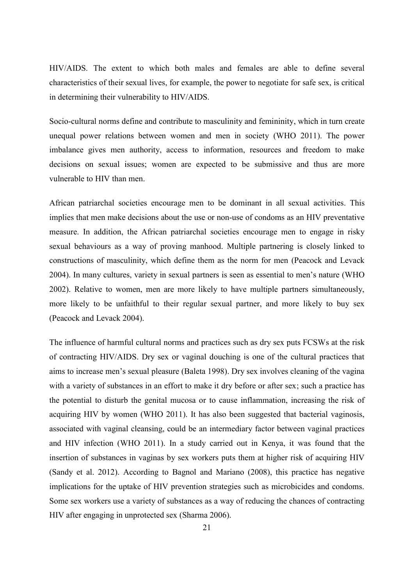HIV/AIDS. The extent to which both males and females are able to define several characteristics of their sexual lives, for example, the power to negotiate for safe sex, is critical in determining their vulnerability to HIV/AIDS.

Socio-cultural norms define and contribute to masculinity and femininity, which in turn create unequal power relations between women and men in society [\(WHO 2011\)](#page-65-1). The power imbalance gives men authority, access to information, resources and freedom to make decisions on sexual issues; women are expected to be submissive and thus are more vulnerable to HIV than men.

African patriarchal societies encourage men to be dominant in all sexual activities. This implies that men make decisions about the use or non-use of condoms as an HIV preventative measure. In addition, the African patriarchal societies encourage men to engage in risky sexual behaviours as a way of proving manhood. Multiple partnering is closely linked to constructions of masculinity, which define them as the norm for men [\(Peacock and Levack](#page-61-0)  [2004\)](#page-61-0). In many cultures, variety in sexual partners is seen as essential to men's nature [\(WHO](#page-65-10)  [2002\)](#page-65-10). Relative to women, men are more likely to have multiple partners simultaneously, more likely to be unfaithful to their regular sexual partner, and more likely to buy sex [\(Peacock and Levack 2004\)](#page-61-0).

The influence of harmful cultural norms and practices such as dry sex puts FCSWs at the risk of contracting HIV/AIDS. Dry sex or vaginal douching is one of the cultural practices that aims to increase men's sexual pleasure [\(Baleta 1998\)](#page-59-6). Dry sex involves cleaning of the vagina with a variety of substances in an effort to make it dry before or after sex; such a practice has the potential to disturb the genital mucosa or to cause inflammation, increasing the risk of acquiring HIV by women (WHO 2011). It has also been suggested that bacterial vaginosis, associated with vaginal cleansing, could be an intermediary factor between vaginal practices and HIV infection (WHO 2011). In a study carried out in Kenya, it was found that the insertion of substances in vaginas by sex workers puts them at higher risk of acquiring HIV [\(Sandy et al. 2012\)](#page-63-8). According to Bagnol and Mariano (2008), this practice has negative implications for the uptake of HIV prevention strategies such as microbicides and condoms. Some sex workers use a variety of substances as a way of reducing the chances of contracting HIV after engaging in unprotected sex [\(Sharma 2006\)](#page-64-7).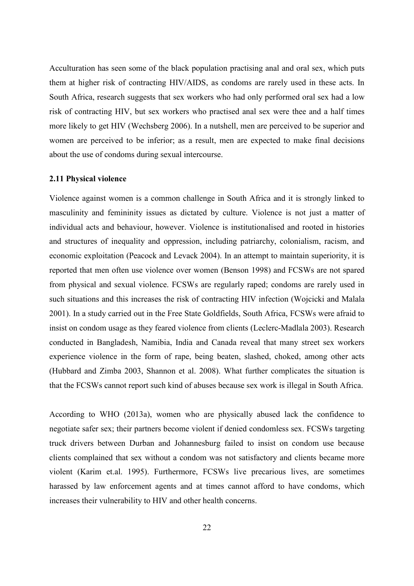Acculturation has seen some of the black population practising anal and oral sex, which puts them at higher risk of contracting HIV/AIDS, as condoms are rarely used in these acts. In South Africa, research suggests that sex workers who had only performed oral sex had a low risk of contracting HIV, but sex workers who practised anal sex were thee and a half times more likely to get HIV [\(Wechsberg 2006\)](#page-65-11). In a nutshell, men are perceived to be superior and women are perceived to be inferior; as a result, men are expected to make final decisions about the use of condoms during sexual intercourse.

### <span id="page-30-0"></span>**2.11 Physical violence**

Violence against women is a common challenge in South Africa and it is strongly linked to masculinity and femininity issues as dictated by culture. Violence is not just a matter of individual acts and behaviour, however. Violence is institutionalised and rooted in histories and structures of inequality and oppression, including patriarchy, colonialism, racism, and economic exploitation [\(Peacock and Levack 2004\)](#page-61-0). In an attempt to maintain superiority, it is reported that men often use violence over women [\(Benson 1998\)](#page-59-7) and FCSWs are not spared from physical and sexual violence. FCSWs are regularly raped; condoms are rarely used in such situations and this increases the risk of contracting HIV infection (Wojcicki and Malala 2001). In a study carried out in the Free State Goldfields, South Africa, FCSWs were afraid to insist on condom usage as they feared violence from clients [\(Leclerc-Madlala 2003\)](#page-59-4). Research conducted in Bangladesh, Namibia, India and Canada reveal that many street sex workers experience violence in the form of rape, being beaten, slashed, choked, among other acts (Hubbard and Zimba 2003, [Shannon et al. 2008\)](#page-64-3). What further complicates the situation is that the FCSWs cannot report such kind of abuses because sex work is illegal in South Africa.

According to WHO (2013a), women who are physically abused lack the confidence to negotiate safer sex; their partners become violent if denied condomless sex. FCSWs targeting truck drivers between Durban and Johannesburg failed to insist on condom use because clients complained that sex without a condom was not satisfactory and clients became more violent (Karim et.al. 1995). Furthermore, FCSWs live precarious lives, are sometimes harassed by law enforcement agents and at times cannot afford to have condoms, which increases their vulnerability to HIV and other health concerns.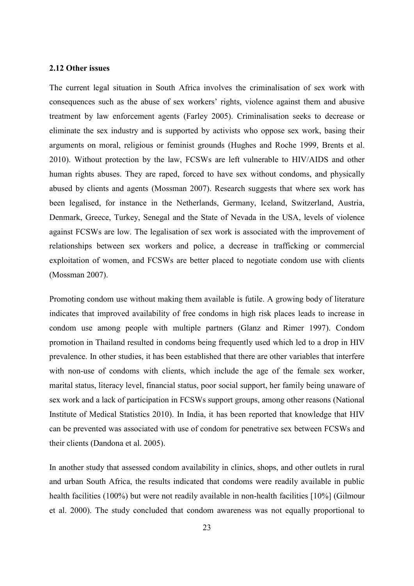### <span id="page-31-0"></span>**2.12 Other issues**

The current legal situation in South Africa involves the criminalisation of sex work with consequences such as the abuse of sex workers' rights, violence against them and abusive treatment by law enforcement agents [\(Farley 2005\)](#page-60-7). Criminalisation seeks to decrease or eliminate the sex industry and is supported by activists who oppose sex work, basing their arguments on moral, religious or feminist grounds [\(Hughes and Roche 1999,](#page-59-4) [Brents et al.](#page-61-2)  [2010\)](#page-61-2). Without protection by the law, FCSWs are left vulnerable to HIV/AIDS and other human rights abuses. They are raped, forced to have sex without condoms, and physically abused by clients and agents [\(Mossman 2007\)](#page-62-3). Research suggests that where sex work has been legalised, for instance in the Netherlands, Germany, Iceland, Switzerland, Austria, Denmark, Greece, Turkey, Senegal and the State of Nevada in the USA, levels of violence against FCSWs are low. The legalisation of sex work is associated with the improvement of relationships between sex workers and police, a decrease in trafficking or commercial exploitation of women, and FCSWs are better placed to negotiate condom use with clients [\(Mossman 2007\)](#page-62-3).

Promoting condom use without making them available is futile. A growing body of literature indicates that improved availability of free condoms in high risk places leads to increase in condom use among people with multiple partners [\(Glanz and Rimer 1997\)](#page-61-3). Condom promotion in Thailand resulted in condoms being frequently used which led to a drop in HIV prevalence. In other studies, it has been established that there are other variables that interfere with non-use of condoms with clients, which include the age of the female sex worker, marital status, literacy level, financial status, poor social support, her family being unaware of sex work and a lack of participation in FCSWs support groups, among other reasons (National Institute of Medical Statistics 2010). In India, it has been reported that knowledge that HIV can be prevented was associated with use of condom for penetrative sex between FCSWs and their clients [\(Dandona et al. 2005\)](#page-60-8).

In another study that assessed condom availability in clinics, shops, and other outlets in rural and urban South Africa, the results indicated that condoms were readily available in public health facilities (100%) but were not readily available in non-health facilities [10%] (Gilmour et al. 2000). The study concluded that condom awareness was not equally proportional to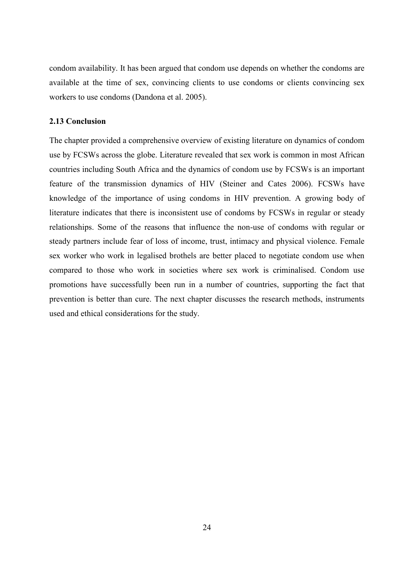condom availability. It has been argued that condom use depends on whether the condoms are available at the time of sex, convincing clients to use condoms or clients convincing sex workers to use condoms [\(Dandona et al. 2005\)](#page-60-8).

### <span id="page-32-0"></span>**2.13 Conclusion**

The chapter provided a comprehensive overview of existing literature on dynamics of condom use by FCSWs across the globe. Literature revealed that sex work is common in most African countries including South Africa and the dynamics of condom use by FCSWs is an important feature of the transmission dynamics of HIV [\(Steiner and Cates 2006\)](#page-64-8). FCSWs have knowledge of the importance of using condoms in HIV prevention. A growing body of literature indicates that there is inconsistent use of condoms by FCSWs in regular or steady relationships. Some of the reasons that influence the non-use of condoms with regular or steady partners include fear of loss of income, trust, intimacy and physical violence. Female sex worker who work in legalised brothels are better placed to negotiate condom use when compared to those who work in societies where sex work is criminalised. Condom use promotions have successfully been run in a number of countries, supporting the fact that prevention is better than cure. The next chapter discusses the research methods, instruments used and ethical considerations for the study.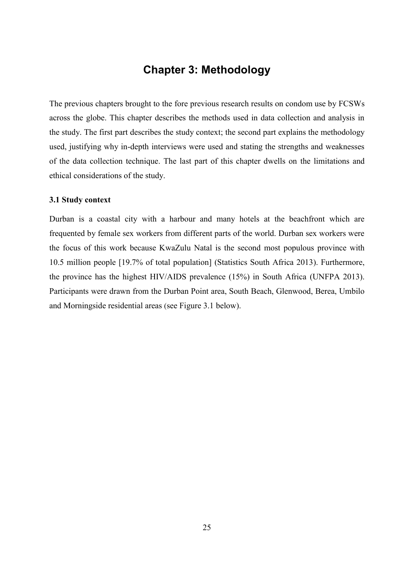## **Chapter 3: Methodology**

<span id="page-33-0"></span>The previous chapters brought to the fore previous research results on condom use by FCSWs across the globe. This chapter describes the methods used in data collection and analysis in the study. The first part describes the study context; the second part explains the methodology used, justifying why in-depth interviews were used and stating the strengths and weaknesses of the data collection technique. The last part of this chapter dwells on the limitations and ethical considerations of the study.

### <span id="page-33-1"></span>**3.1 Study context**

Durban is a coastal city with a harbour and many hotels at the beachfront which are frequented by female sex workers from different parts of the world. Durban sex workers were the focus of this work because KwaZulu Natal is the second most populous province with 10.5 million people [19.7% of total population] (Statistics South Africa 2013). Furthermore, the province has the highest HIV/AIDS prevalence (15%) in South Africa [\(UNFPA 2013\)](#page-65-7). Participants were drawn from the Durban Point area, South Beach, Glenwood, Berea, Umbilo and Morningside residential areas (see Figure 3.1 below).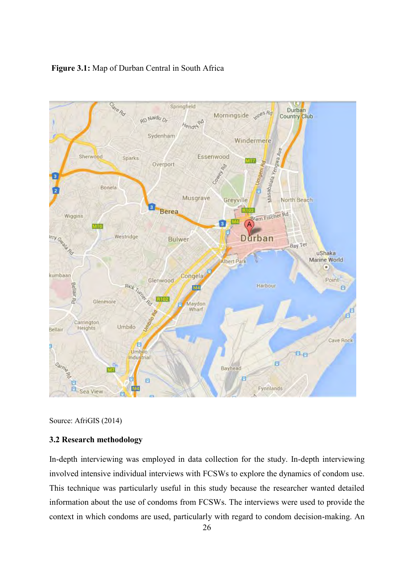## **Figure 3.1:** Map of Durban Central in South Africa



Source: AfriGIS (2014)

## <span id="page-34-0"></span>**3.2 Research methodology**

In-depth interviewing was employed in data collection for the study. In-depth interviewing involved intensive individual interviews with FCSWs to explore the dynamics of condom use. This technique was particularly useful in this study because the researcher wanted detailed information about the use of condoms from FCSWs. The interviews were used to provide the context in which condoms are used, particularly with regard to condom decision-making. An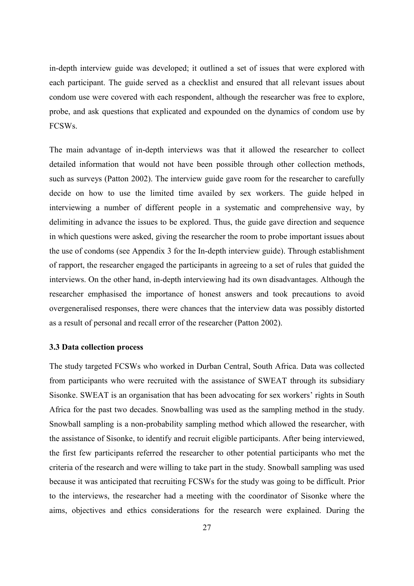in-depth interview guide was developed; it outlined a set of issues that were explored with each participant. The guide served as a checklist and ensured that all relevant issues about condom use were covered with each respondent, although the researcher was free to explore, probe, and ask questions that explicated and expounded on the dynamics of condom use by FCSWs.

The main advantage of in-depth interviews was that it allowed the researcher to collect detailed information that would not have been possible through other collection methods, such as surveys (Patton 2002). The interview guide gave room for the researcher to carefully decide on how to use the limited time availed by sex workers. The guide helped in interviewing a number of different people in a systematic and comprehensive way, by delimiting in advance the issues to be explored. Thus, the guide gave direction and sequence in which questions were asked, giving the researcher the room to probe important issues about the use of condoms (see Appendix 3 for the In-depth interview guide). Through establishment of rapport, the researcher engaged the participants in agreeing to a set of rules that guided the interviews. On the other hand, in-depth interviewing had its own disadvantages. Although the researcher emphasised the importance of honest answers and took precautions to avoid overgeneralised responses, there were chances that the interview data was possibly distorted as a result of personal and recall error of the researcher (Patton 2002).

### <span id="page-35-0"></span>**3.3 Data collection process**

The study targeted FCSWs who worked in Durban Central, South Africa. Data was collected from participants who were recruited with the assistance of SWEAT through its subsidiary Sisonke. SWEAT is an organisation that has been advocating for sex workers' rights in South Africa for the past two decades. Snowballing was used as the sampling method in the study. Snowball sampling is a non-probability sampling method which allowed the researcher, with the assistance of Sisonke, to identify and recruit eligible participants. After being interviewed, the first few participants referred the researcher to other potential participants who met the criteria of the research and were willing to take part in the study. Snowball sampling was used because it was anticipated that recruiting FCSWs for the study was going to be difficult. Prior to the interviews, the researcher had a meeting with the coordinator of Sisonke where the aims, objectives and ethics considerations for the research were explained. During the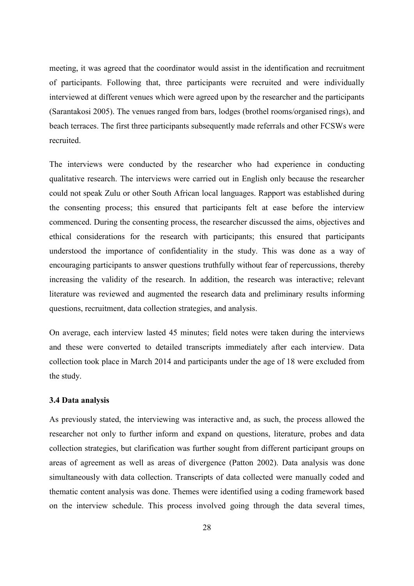meeting, it was agreed that the coordinator would assist in the identification and recruitment of participants. Following that, three participants were recruited and were individually interviewed at different venues which were agreed upon by the researcher and the participants [\(Sarantakosi 2005\)](#page-63-3). The venues ranged from bars, lodges (brothel rooms/organised rings), and beach terraces. The first three participants subsequently made referrals and other FCSWs were recruited.

The interviews were conducted by the researcher who had experience in conducting qualitative research. The interviews were carried out in English only because the researcher could not speak Zulu or other South African local languages. Rapport was established during the consenting process; this ensured that participants felt at ease before the interview commenced. During the consenting process, the researcher discussed the aims, objectives and ethical considerations for the research with participants; this ensured that participants understood the importance of confidentiality in the study. This was done as a way of encouraging participants to answer questions truthfully without fear of repercussions, thereby increasing the validity of the research. In addition, the research was interactive; relevant literature was reviewed and augmented the research data and preliminary results informing questions, recruitment, data collection strategies, and analysis.

On average, each interview lasted 45 minutes; field notes were taken during the interviews and these were converted to detailed transcripts immediately after each interview. Data collection took place in March 2014 and participants under the age of 18 were excluded from the study.

### <span id="page-36-0"></span>**3.4 Data analysis**

As previously stated, the interviewing was interactive and, as such, the process allowed the researcher not only to further inform and expand on questions, literature, probes and data collection strategies, but clarification was further sought from different participant groups on areas of agreement as well as areas of divergence [\(Patton 2002\)](#page-63-9). Data analysis was done simultaneously with data collection. Transcripts of data collected were manually coded and thematic content analysis was done. Themes were identified using a coding framework based on the interview schedule. This process involved going through the data several times,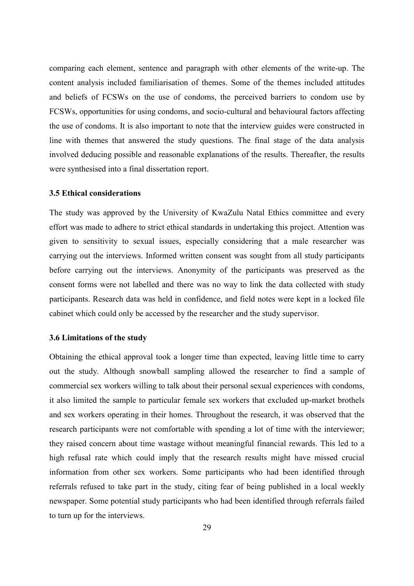comparing each element, sentence and paragraph with other elements of the write-up. The content analysis included familiarisation of themes. Some of the themes included attitudes and beliefs of FCSWs on the use of condoms, the perceived barriers to condom use by FCSWs, opportunities for using condoms, and socio-cultural and behavioural factors affecting the use of condoms. It is also important to note that the interview guides were constructed in line with themes that answered the study questions. The final stage of the data analysis involved deducing possible and reasonable explanations of the results. Thereafter, the results were synthesised into a final dissertation report.

### <span id="page-37-0"></span>**3.5 Ethical considerations**

The study was approved by the University of KwaZulu Natal Ethics committee and every effort was made to adhere to strict ethical standards in undertaking this project. Attention was given to sensitivity to sexual issues, especially considering that a male researcher was carrying out the interviews. Informed written consent was sought from all study participants before carrying out the interviews. Anonymity of the participants was preserved as the consent forms were not labelled and there was no way to link the data collected with study participants. Research data was held in confidence, and field notes were kept in a locked file cabinet which could only be accessed by the researcher and the study supervisor.

### <span id="page-37-1"></span>**3.6 Limitations of the study**

Obtaining the ethical approval took a longer time than expected, leaving little time to carry out the study. Although snowball sampling allowed the researcher to find a sample of commercial sex workers willing to talk about their personal sexual experiences with condoms, it also limited the sample to particular female sex workers that excluded up-market brothels and sex workers operating in their homes. Throughout the research, it was observed that the research participants were not comfortable with spending a lot of time with the interviewer; they raised concern about time wastage without meaningful financial rewards. This led to a high refusal rate which could imply that the research results might have missed crucial information from other sex workers. Some participants who had been identified through referrals refused to take part in the study, citing fear of being published in a local weekly newspaper. Some potential study participants who had been identified through referrals failed to turn up for the interviews.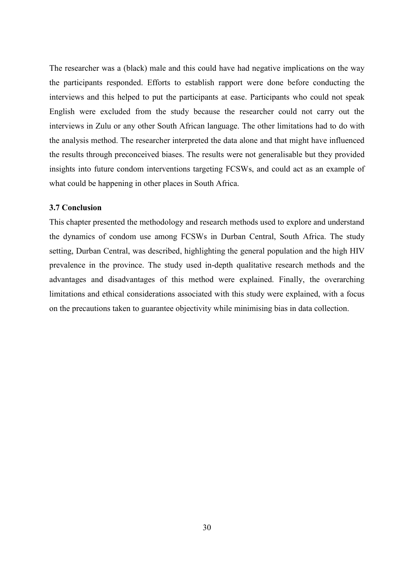The researcher was a (black) male and this could have had negative implications on the way the participants responded. Efforts to establish rapport were done before conducting the interviews and this helped to put the participants at ease. Participants who could not speak English were excluded from the study because the researcher could not carry out the interviews in Zulu or any other South African language. The other limitations had to do with the analysis method. The researcher interpreted the data alone and that might have influenced the results through preconceived biases. The results were not generalisable but they provided insights into future condom interventions targeting FCSWs, and could act as an example of what could be happening in other places in South Africa.

### <span id="page-38-0"></span>**3.7 Conclusion**

This chapter presented the methodology and research methods used to explore and understand the dynamics of condom use among FCSWs in Durban Central, South Africa. The study setting, Durban Central, was described, highlighting the general population and the high HIV prevalence in the province. The study used in-depth qualitative research methods and the advantages and disadvantages of this method were explained. Finally, the overarching limitations and ethical considerations associated with this study were explained, with a focus on the precautions taken to guarantee objectivity while minimising bias in data collection.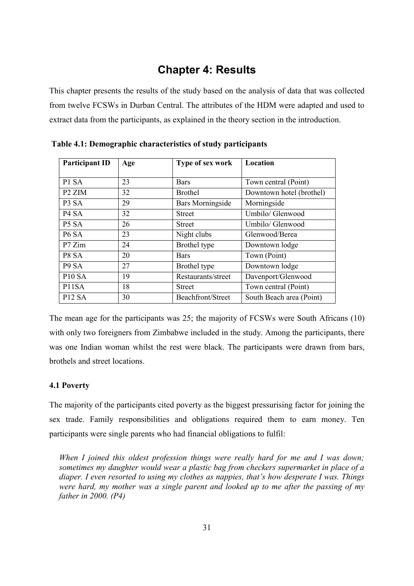## **Chapter 4: Results**

<span id="page-39-0"></span>This chapter presents the results of the study based on the analysis of data that was collected from twelve FCSWs in Durban Central. The attributes of the HDM were adapted and used to extract data from the participants, as explained in the theory section in the introduction.

| <b>Participant ID</b>         | Age | Type of sex work        | Location                 |
|-------------------------------|-----|-------------------------|--------------------------|
| P1 SA                         | 23  | <b>Bars</b>             | Town central (Point)     |
| P <sub>2</sub> ZIM            | 32  | <b>Brothel</b>          | Downtown hotel (brothel) |
| P <sub>3</sub> S <sub>A</sub> | 29  | <b>Bars Morningside</b> | Morningside              |
| P <sub>4</sub> S <sub>A</sub> | 32  | <b>Street</b>           | Umbilo/ Glenwood         |
| P5 SA                         | 26  | <b>Street</b>           | Umbilo/ Glenwood         |
| P <sub>6</sub> SA             | 23  | Night clubs             | Glenwood/Berea           |
| P7 Zim                        | 24  | Brothel type            | Downtown lodge           |
| P8 SA                         | 20  | <b>Bars</b>             | Town (Point)             |
| P <sub>9</sub> S <sub>A</sub> | 27  | Brothel type            | Downtown lodge           |
| <b>P10 SA</b>                 | 19  | Restaurants/street      | Davenport/Glenwood       |
| P11SA                         | 18  | <b>Street</b>           | Town central (Point)     |
| <b>P12 SA</b>                 | 30  | Beachfront/Street       | South Beach area (Point) |

**Table 4.1: Demographic characteristics of study participants**

The mean age for the participants was 25; the majority of FCSWs were South Africans (10) with only two foreigners from Zimbabwe included in the study. Among the participants, there was one Indian woman whilst the rest were black. The participants were drawn from bars, brothels and street locations.

### <span id="page-39-1"></span>**4.1 Poverty**

The majority of the participants cited poverty as the biggest pressurising factor for joining the sex trade. Family responsibilities and obligations required them to earn money. Ten participants were single parents who had financial obligations to fulfil:

*When I joined this oldest profession things were really hard for me and I was down; sometimes my daughter would wear a plastic bag from checkers supermarket in place of a diaper. I even resorted to using my clothes as nappies, that's how desperate I was. Things were hard, my mother was a single parent and looked up to me after the passing of my father in 2000. (P4)*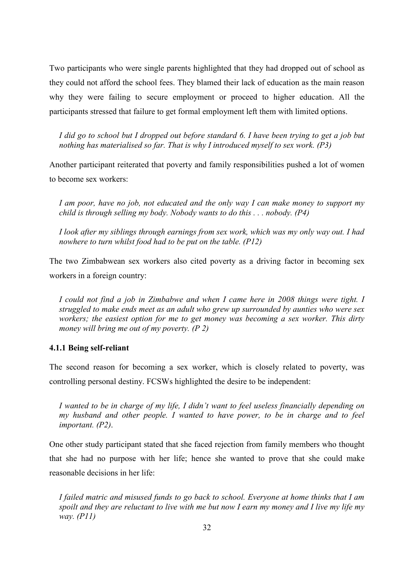Two participants who were single parents highlighted that they had dropped out of school as they could not afford the school fees. They blamed their lack of education as the main reason why they were failing to secure employment or proceed to higher education. All the participants stressed that failure to get formal employment left them with limited options.

*I did go to school but I dropped out before standard 6. I have been trying to get a job but nothing has materialised so far. That is why I introduced myself to sex work. (P3)* 

Another participant reiterated that poverty and family responsibilities pushed a lot of women to become sex workers:

*I am poor, have no job, not educated and the only way I can make money to support my child is through selling my body. Nobody wants to do this . . . nobody. (P4)*

*I look after my siblings through earnings from sex work, which was my only way out. I had nowhere to turn whilst food had to be put on the table. (P12)* 

The two Zimbabwean sex workers also cited poverty as a driving factor in becoming sex workers in a foreign country:

*I could not find a job in Zimbabwe and when I came here in 2008 things were tight. I struggled to make ends meet as an adult who grew up surrounded by aunties who were sex workers; the easiest option for me to get money was becoming a sex worker. This dirty money will bring me out of my poverty. (P 2)* 

### <span id="page-40-0"></span>**4.1.1 Being self-reliant**

The second reason for becoming a sex worker, which is closely related to poverty, was controlling personal destiny. FCSWs highlighted the desire to be independent:

*I wanted to be in charge of my life, I didn't want to feel useless financially depending on my husband and other people. I wanted to have power, to be in charge and to feel important. (P2)*.

One other study participant stated that she faced rejection from family members who thought that she had no purpose with her life; hence she wanted to prove that she could make reasonable decisions in her life:

*I failed matric and misused funds to go back to school. Everyone at home thinks that I am spoilt and they are reluctant to live with me but now I earn my money and I live my life my way. (P11)*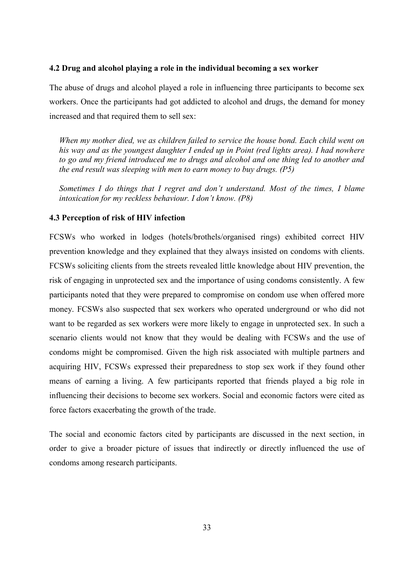### <span id="page-41-0"></span>**4.2 Drug and alcohol playing a role in the individual becoming a sex worker**

The abuse of drugs and alcohol played a role in influencing three participants to become sex workers. Once the participants had got addicted to alcohol and drugs, the demand for money increased and that required them to sell sex:

*When my mother died, we as children failed to service the house bond. Each child went on his way and as the youngest daughter I ended up in Point (red lights area). I had nowhere to go and my friend introduced me to drugs and alcohol and one thing led to another and the end result was sleeping with men to earn money to buy drugs. (P5)* 

*Sometimes I do things that I regret and don't understand. Most of the times, I blame intoxication for my reckless behaviour. I don't know. (P8)*

## <span id="page-41-1"></span>**4.3 Perception of risk of HIV infection**

FCSWs who worked in lodges (hotels/brothels/organised rings) exhibited correct HIV prevention knowledge and they explained that they always insisted on condoms with clients. FCSWs soliciting clients from the streets revealed little knowledge about HIV prevention, the risk of engaging in unprotected sex and the importance of using condoms consistently. A few participants noted that they were prepared to compromise on condom use when offered more money. FCSWs also suspected that sex workers who operated underground or who did not want to be regarded as sex workers were more likely to engage in unprotected sex. In such a scenario clients would not know that they would be dealing with FCSWs and the use of condoms might be compromised. Given the high risk associated with multiple partners and acquiring HIV, FCSWs expressed their preparedness to stop sex work if they found other means of earning a living. A few participants reported that friends played a big role in influencing their decisions to become sex workers. Social and economic factors were cited as force factors exacerbating the growth of the trade.

The social and economic factors cited by participants are discussed in the next section, in order to give a broader picture of issues that indirectly or directly influenced the use of condoms among research participants.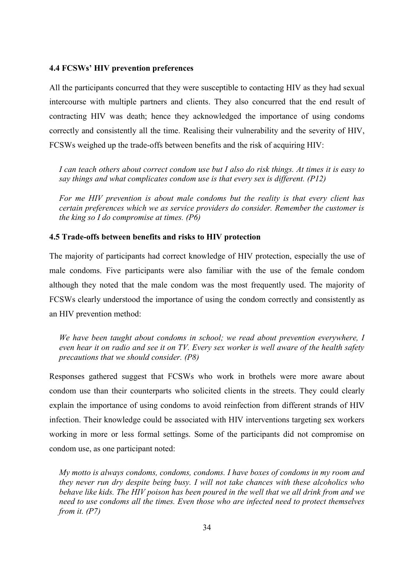### <span id="page-42-0"></span>**4.4 FCSWs' HIV prevention preferences**

All the participants concurred that they were susceptible to contacting HIV as they had sexual intercourse with multiple partners and clients. They also concurred that the end result of contracting HIV was death; hence they acknowledged the importance of using condoms correctly and consistently all the time. Realising their vulnerability and the severity of HIV, FCSWs weighed up the trade-offs between benefits and the risk of acquiring HIV:

*I can teach others about correct condom use but I also do risk things. At times it is easy to say things and what complicates condom use is that every sex is different. (P12)* 

*For me HIV prevention is about male condoms but the reality is that every client has certain preferences which we as service providers do consider. Remember the customer is the king so I do compromise at times. (P6)* 

### <span id="page-42-1"></span>**4.5 Trade-offs between benefits and risks to HIV protection**

The majority of participants had correct knowledge of HIV protection, especially the use of male condoms. Five participants were also familiar with the use of the female condom although they noted that the male condom was the most frequently used. The majority of FCSWs clearly understood the importance of using the condom correctly and consistently as an HIV prevention method:

*We have been taught about condoms in school; we read about prevention everywhere, I even hear it on radio and see it on TV. Every sex worker is well aware of the health safety precautions that we should consider. (P8)* 

Responses gathered suggest that FCSWs who work in brothels were more aware about condom use than their counterparts who solicited clients in the streets. They could clearly explain the importance of using condoms to avoid reinfection from different strands of HIV infection. Their knowledge could be associated with HIV interventions targeting sex workers working in more or less formal settings. Some of the participants did not compromise on condom use, as one participant noted:

*My motto is always condoms, condoms, condoms. I have boxes of condoms in my room and they never run dry despite being busy. I will not take chances with these alcoholics who behave like kids. The HIV poison has been poured in the well that we all drink from and we need to use condoms all the times. Even those who are infected need to protect themselves from it. (P7)*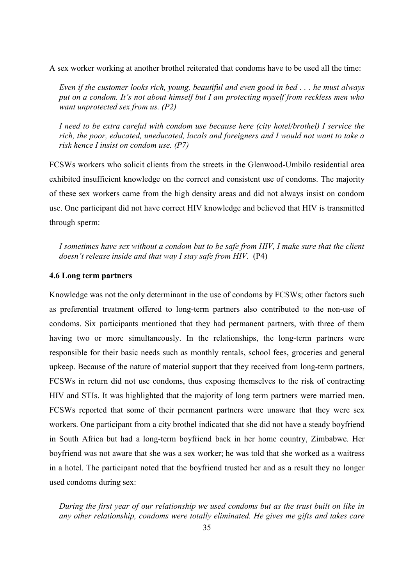A sex worker working at another brothel reiterated that condoms have to be used all the time:

*Even if the customer looks rich, young, beautiful and even good in bed . . . he must always put on a condom. It's not about himself but I am protecting myself from reckless men who want unprotected sex from us. (P2)* 

*I need to be extra careful with condom use because here (city hotel/brothel) I service the rich, the poor, educated, uneducated, locals and foreigners and I would not want to take a risk hence I insist on condom use. (P7)* 

FCSWs workers who solicit clients from the streets in the Glenwood-Umbilo residential area exhibited insufficient knowledge on the correct and consistent use of condoms. The majority of these sex workers came from the high density areas and did not always insist on condom use. One participant did not have correct HIV knowledge and believed that HIV is transmitted through sperm:

*I sometimes have sex without a condom but to be safe from HIV, I make sure that the client doesn't release inside and that way I stay safe from HIV.* (P4)

#### <span id="page-43-0"></span>**4.6 Long term partners**

Knowledge was not the only determinant in the use of condoms by FCSWs; other factors such as preferential treatment offered to long-term partners also contributed to the non-use of condoms. Six participants mentioned that they had permanent partners, with three of them having two or more simultaneously. In the relationships, the long-term partners were responsible for their basic needs such as monthly rentals, school fees, groceries and general upkeep. Because of the nature of material support that they received from long-term partners, FCSWs in return did not use condoms, thus exposing themselves to the risk of contracting HIV and STIs. It was highlighted that the majority of long term partners were married men. FCSWs reported that some of their permanent partners were unaware that they were sex workers. One participant from a city brothel indicated that she did not have a steady boyfriend in South Africa but had a long-term boyfriend back in her home country, Zimbabwe. Her boyfriend was not aware that she was a sex worker; he was told that she worked as a waitress in a hotel. The participant noted that the boyfriend trusted her and as a result they no longer used condoms during sex:

*During the first year of our relationship we used condoms but as the trust built on like in any other relationship, condoms were totally eliminated. He gives me gifts and takes care*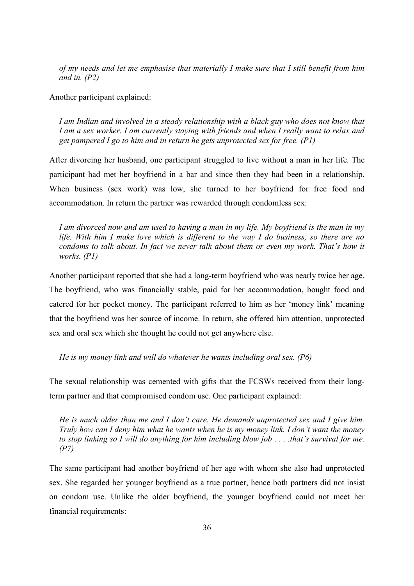*of my needs and let me emphasise that materially I make sure that I still benefit from him and in. (P2)* 

Another participant explained:

*I am Indian and involved in a steady relationship with a black guy who does not know that I am a sex worker. I am currently staying with friends and when I really want to relax and get pampered I go to him and in return he gets unprotected sex for free. (P1)* 

After divorcing her husband, one participant struggled to live without a man in her life. The participant had met her boyfriend in a bar and since then they had been in a relationship. When business (sex work) was low, she turned to her boyfriend for free food and accommodation. In return the partner was rewarded through condomless sex:

*I am divorced now and am used to having a man in my life. My boyfriend is the man in my life. With him I make love which is different to the way I do business, so there are no condoms to talk about. In fact we never talk about them or even my work. That's how it works. (P1)* 

Another participant reported that she had a long-term boyfriend who was nearly twice her age. The boyfriend, who was financially stable, paid for her accommodation, bought food and catered for her pocket money. The participant referred to him as her 'money link' meaning that the boyfriend was her source of income. In return, she offered him attention, unprotected sex and oral sex which she thought he could not get anywhere else.

*He is my money link and will do whatever he wants including oral sex. (P6)* 

The sexual relationship was cemented with gifts that the FCSWs received from their longterm partner and that compromised condom use. One participant explained:

*He is much older than me and I don't care. He demands unprotected sex and I give him. Truly how can I deny him what he wants when he is my money link. I don't want the money to stop linking so I will do anything for him including blow job . . . .that's survival for me. (P7)* 

The same participant had another boyfriend of her age with whom she also had unprotected sex. She regarded her younger boyfriend as a true partner, hence both partners did not insist on condom use. Unlike the older boyfriend, the younger boyfriend could not meet her financial requirements: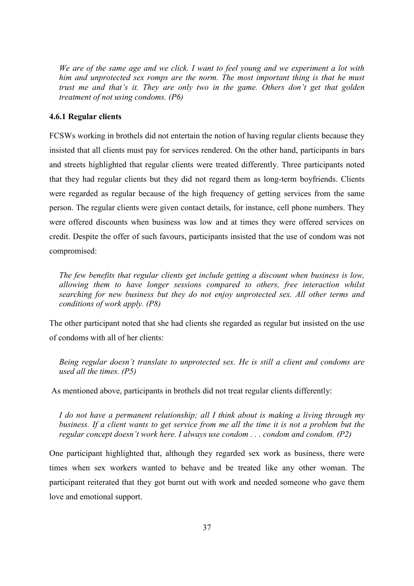*We are of the same age and we click. I want to feel young and we experiment a lot with him and unprotected sex romps are the norm. The most important thing is that he must trust me and that's it. They are only two in the game. Others don't get that golden treatment of not using condoms. (P6)* 

### <span id="page-45-0"></span>**4.6.1 Regular clients**

FCSWs working in brothels did not entertain the notion of having regular clients because they insisted that all clients must pay for services rendered. On the other hand, participants in bars and streets highlighted that regular clients were treated differently. Three participants noted that they had regular clients but they did not regard them as long-term boyfriends. Clients were regarded as regular because of the high frequency of getting services from the same person. The regular clients were given contact details, for instance, cell phone numbers. They were offered discounts when business was low and at times they were offered services on credit. Despite the offer of such favours, participants insisted that the use of condom was not compromised:

*The few benefits that regular clients get include getting a discount when business is low, allowing them to have longer sessions compared to others, free interaction whilst searching for new business but they do not enjoy unprotected sex. All other terms and conditions of work apply. (P8)* 

The other participant noted that she had clients she regarded as regular but insisted on the use of condoms with all of her clients:

*Being regular doesn't translate to unprotected sex. He is still a client and condoms are used all the times. (P5)* 

As mentioned above, participants in brothels did not treat regular clients differently:

*I do not have a permanent relationship; all I think about is making a living through my business. If a client wants to get service from me all the time it is not a problem but the regular concept doesn't work here. I always use condom . . . condom and condom. (P2)* 

One participant highlighted that, although they regarded sex work as business, there were times when sex workers wanted to behave and be treated like any other woman. The participant reiterated that they got burnt out with work and needed someone who gave them love and emotional support.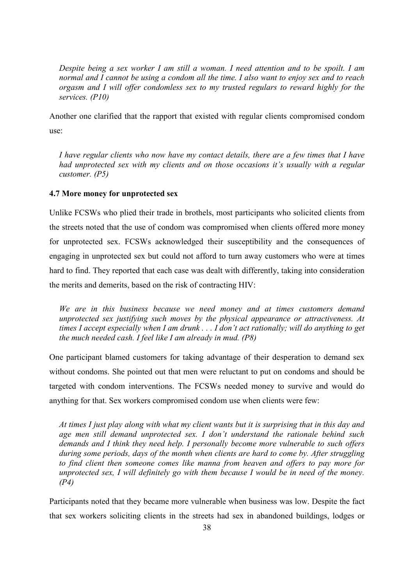*Despite being a sex worker I am still a woman. I need attention and to be spoilt. I am normal and I cannot be using a condom all the time. I also want to enjoy sex and to reach orgasm and I will offer condomless sex to my trusted regulars to reward highly for the services. (P10)* 

Another one clarified that the rapport that existed with regular clients compromised condom use:

*I have regular clients who now have my contact details, there are a few times that I have had unprotected sex with my clients and on those occasions it's usually with a regular customer. (P5)*

### <span id="page-46-0"></span>**4.7 More money for unprotected sex**

Unlike FCSWs who plied their trade in brothels, most participants who solicited clients from the streets noted that the use of condom was compromised when clients offered more money for unprotected sex. FCSWs acknowledged their susceptibility and the consequences of engaging in unprotected sex but could not afford to turn away customers who were at times hard to find. They reported that each case was dealt with differently, taking into consideration the merits and demerits, based on the risk of contracting HIV:

*We are in this business because we need money and at times customers demand unprotected sex justifying such moves by the physical appearance or attractiveness. At times I accept especially when I am drunk . . . I don't act rationally; will do anything to get the much needed cash. I feel like I am already in mud. (P8)*

One participant blamed customers for taking advantage of their desperation to demand sex without condoms. She pointed out that men were reluctant to put on condoms and should be targeted with condom interventions. The FCSWs needed money to survive and would do anything for that. Sex workers compromised condom use when clients were few:

*At times I just play along with what my client wants but it is surprising that in this day and age men still demand unprotected sex. I don't understand the rationale behind such demands and I think they need help. I personally become more vulnerable to such offers during some periods, days of the month when clients are hard to come by. After struggling to find client then someone comes like manna from heaven and offers to pay more for unprotected sex, I will definitely go with them because I would be in need of the money. (P4)* 

Participants noted that they became more vulnerable when business was low. Despite the fact that sex workers soliciting clients in the streets had sex in abandoned buildings, lodges or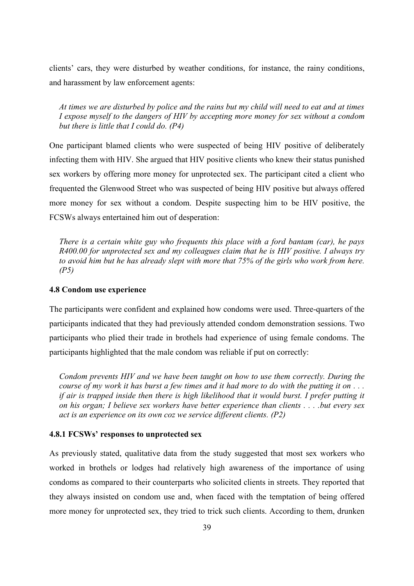clients' cars, they were disturbed by weather conditions, for instance, the rainy conditions, and harassment by law enforcement agents:

*At times we are disturbed by police and the rains but my child will need to eat and at times I expose myself to the dangers of HIV by accepting more money for sex without a condom but there is little that I could do. (P4)*

One participant blamed clients who were suspected of being HIV positive of deliberately infecting them with HIV. She argued that HIV positive clients who knew their status punished sex workers by offering more money for unprotected sex. The participant cited a client who frequented the Glenwood Street who was suspected of being HIV positive but always offered more money for sex without a condom. Despite suspecting him to be HIV positive, the FCSWs always entertained him out of desperation:

*There is a certain white guy who frequents this place with a ford bantam (car), he pays R400.00 for unprotected sex and my colleagues claim that he is HIV positive. I always try to avoid him but he has already slept with more that 75% of the girls who work from here. (P5)* 

### <span id="page-47-0"></span>**4.8 Condom use experience**

The participants were confident and explained how condoms were used. Three-quarters of the participants indicated that they had previously attended condom demonstration sessions. Two participants who plied their trade in brothels had experience of using female condoms. The participants highlighted that the male condom was reliable if put on correctly:

*Condom prevents HIV and we have been taught on how to use them correctly. During the course of my work it has burst a few times and it had more to do with the putting it on . . . if air is trapped inside then there is high likelihood that it would burst. I prefer putting it on his organ; I believe sex workers have better experience than clients . . . .but every sex act is an experience on its own coz we service different clients. (P2)*

### <span id="page-47-1"></span>**4.8.1 FCSWs' responses to unprotected sex**

As previously stated, qualitative data from the study suggested that most sex workers who worked in brothels or lodges had relatively high awareness of the importance of using condoms as compared to their counterparts who solicited clients in streets. They reported that they always insisted on condom use and, when faced with the temptation of being offered more money for unprotected sex, they tried to trick such clients. According to them, drunken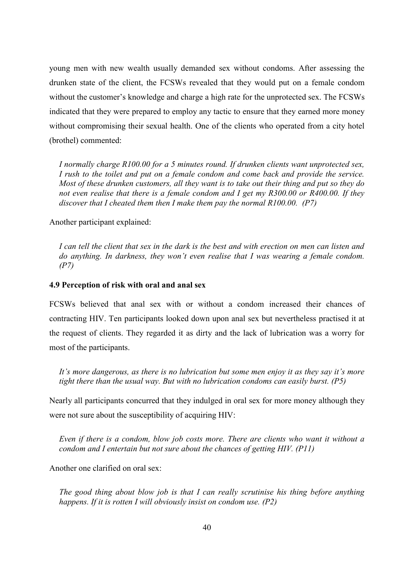young men with new wealth usually demanded sex without condoms. After assessing the drunken state of the client, the FCSWs revealed that they would put on a female condom without the customer's knowledge and charge a high rate for the unprotected sex. The FCSWs indicated that they were prepared to employ any tactic to ensure that they earned more money without compromising their sexual health. One of the clients who operated from a city hotel (brothel) commented:

*I normally charge R100.00 for a 5 minutes round. If drunken clients want unprotected sex, I rush to the toilet and put on a female condom and come back and provide the service. Most of these drunken customers, all they want is to take out their thing and put so they do not even realise that there is a female condom and I get my R300.00 or R400.00. If they discover that I cheated them then I make them pay the normal R100.00. (P7)*

Another participant explained:

*I can tell the client that sex in the dark is the best and with erection on men can listen and do anything. In darkness, they won't even realise that I was wearing a female condom. (P7)* 

### <span id="page-48-0"></span>**4.9 Perception of risk with oral and anal sex**

FCSWs believed that anal sex with or without a condom increased their chances of contracting HIV. Ten participants looked down upon anal sex but nevertheless practised it at the request of clients. They regarded it as dirty and the lack of lubrication was a worry for most of the participants.

*It's more dangerous, as there is no lubrication but some men enjoy it as they say it's more tight there than the usual way. But with no lubrication condoms can easily burst. (P5)* 

Nearly all participants concurred that they indulged in oral sex for more money although they were not sure about the susceptibility of acquiring HIV:

*Even if there is a condom, blow job costs more. There are clients who want it without a condom and I entertain but not sure about the chances of getting HIV. (P11)*

Another one clarified on oral sex:

*The good thing about blow job is that I can really scrutinise his thing before anything happens. If it is rotten I will obviously insist on condom use. (P2)*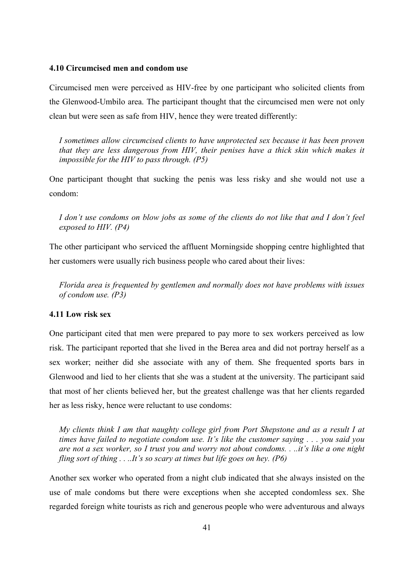### <span id="page-49-0"></span>**4.10 Circumcised men and condom use**

Circumcised men were perceived as HIV-free by one participant who solicited clients from the Glenwood-Umbilo area. The participant thought that the circumcised men were not only clean but were seen as safe from HIV, hence they were treated differently:

*I sometimes allow circumcised clients to have unprotected sex because it has been proven that they are less dangerous from HIV, their penises have a thick skin which makes it impossible for the HIV to pass through. (P5)* 

One participant thought that sucking the penis was less risky and she would not use a condom:

*I don't use condoms on blow jobs as some of the clients do not like that and I don't feel exposed to HIV. (P4)* 

The other participant who serviced the affluent Morningside shopping centre highlighted that her customers were usually rich business people who cared about their lives:

*Florida area is frequented by gentlemen and normally does not have problems with issues of condom use. (P3)* 

### <span id="page-49-1"></span>**4.11 Low risk sex**

One participant cited that men were prepared to pay more to sex workers perceived as low risk. The participant reported that she lived in the Berea area and did not portray herself as a sex worker; neither did she associate with any of them. She frequented sports bars in Glenwood and lied to her clients that she was a student at the university. The participant said that most of her clients believed her, but the greatest challenge was that her clients regarded her as less risky, hence were reluctant to use condoms:

*My clients think I am that naughty college girl from Port Shepstone and as a result I at times have failed to negotiate condom use. It's like the customer saying . . . you said you are not a sex worker, so I trust you and worry not about condoms. . ..it's like a one night fling sort of thing . . ..It's so scary at times but life goes on hey. (P6)* 

Another sex worker who operated from a night club indicated that she always insisted on the use of male condoms but there were exceptions when she accepted condomless sex. She regarded foreign white tourists as rich and generous people who were adventurous and always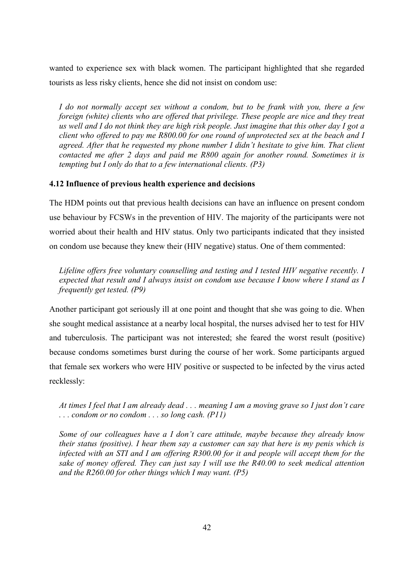wanted to experience sex with black women. The participant highlighted that she regarded tourists as less risky clients, hence she did not insist on condom use:

*I do not normally accept sex without a condom, but to be frank with you, there a few foreign (white) clients who are offered that privilege. These people are nice and they treat us well and I do not think they are high risk people. Just imagine that this other day I got a client who offered to pay me R800.00 for one round of unprotected sex at the beach and I agreed. After that he requested my phone number I didn't hesitate to give him. That client contacted me after 2 days and paid me R800 again for another round. Sometimes it is tempting but I only do that to a few international clients. (P3)* 

### <span id="page-50-0"></span>**4.12 Influence of previous health experience and decisions**

The HDM points out that previous health decisions can have an influence on present condom use behaviour by FCSWs in the prevention of HIV. The majority of the participants were not worried about their health and HIV status. Only two participants indicated that they insisted on condom use because they knew their (HIV negative) status. One of them commented:

*Lifeline offers free voluntary counselling and testing and I tested HIV negative recently. I expected that result and I always insist on condom use because I know where I stand as I frequently get tested. (P9)* 

Another participant got seriously ill at one point and thought that she was going to die. When she sought medical assistance at a nearby local hospital, the nurses advised her to test for HIV and tuberculosis. The participant was not interested; she feared the worst result (positive) because condoms sometimes burst during the course of her work. Some participants argued that female sex workers who were HIV positive or suspected to be infected by the virus acted recklessly:

*At times I feel that I am already dead . . . meaning I am a moving grave so I just don't care . . . condom or no condom . . . so long cash. (P11)* 

*Some of our colleagues have a I don't care attitude, maybe because they already know their status (positive). I hear them say a customer can say that here is my penis which is infected with an STI and I am offering R300.00 for it and people will accept them for the sake of money offered. They can just say I will use the R40.00 to seek medical attention and the R260.00 for other things which I may want. (P5)*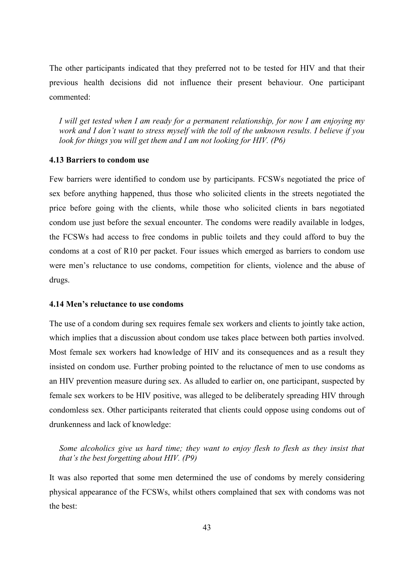The other participants indicated that they preferred not to be tested for HIV and that their previous health decisions did not influence their present behaviour. One participant commented:

*I will get tested when I am ready for a permanent relationship, for now I am enjoying my work and I don't want to stress myself with the toll of the unknown results. I believe if you look for things you will get them and I am not looking for HIV. (P6)* 

### <span id="page-51-0"></span>**4.13 Barriers to condom use**

Few barriers were identified to condom use by participants. FCSWs negotiated the price of sex before anything happened, thus those who solicited clients in the streets negotiated the price before going with the clients, while those who solicited clients in bars negotiated condom use just before the sexual encounter. The condoms were readily available in lodges, the FCSWs had access to free condoms in public toilets and they could afford to buy the condoms at a cost of R10 per packet. Four issues which emerged as barriers to condom use were men's reluctance to use condoms, competition for clients, violence and the abuse of drugs.

### <span id="page-51-1"></span>**4.14 Men's reluctance to use condoms**

The use of a condom during sex requires female sex workers and clients to jointly take action, which implies that a discussion about condom use takes place between both parties involved. Most female sex workers had knowledge of HIV and its consequences and as a result they insisted on condom use. Further probing pointed to the reluctance of men to use condoms as an HIV prevention measure during sex. As alluded to earlier on, one participant, suspected by female sex workers to be HIV positive, was alleged to be deliberately spreading HIV through condomless sex. Other participants reiterated that clients could oppose using condoms out of drunkenness and lack of knowledge:

## *Some alcoholics give us hard time; they want to enjoy flesh to flesh as they insist that that's the best forgetting about HIV. (P9)*

It was also reported that some men determined the use of condoms by merely considering physical appearance of the FCSWs, whilst others complained that sex with condoms was not the best: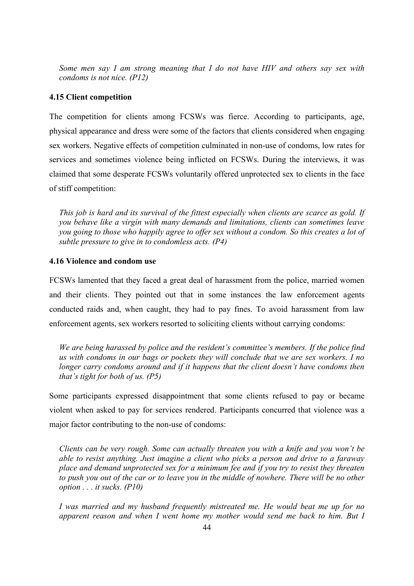*Some men say I am strong meaning that I do not have HIV and others say sex with condoms is not nice. (P12)* 

### <span id="page-52-0"></span>**4.15 Client competition**

The competition for clients among FCSWs was fierce. According to participants, age, physical appearance and dress were some of the factors that clients considered when engaging sex workers. Negative effects of competition culminated in non-use of condoms, low rates for services and sometimes violence being inflicted on FCSWs. During the interviews, it was claimed that some desperate FCSWs voluntarily offered unprotected sex to clients in the face of stiff competition:

*This job is hard and its survival of the fittest especially when clients are scarce as gold. If you behave like a virgin with many demands and limitations, clients can sometimes leave you going to those who happily agree to offer sex without a condom. So this creates a lot of subtle pressure to give in to condomless acts. (P4)* 

### <span id="page-52-1"></span>**4.16 Violence and condom use**

FCSWs lamented that they faced a great deal of harassment from the police, married women and their clients. They pointed out that in some instances the law enforcement agents conducted raids and, when caught, they had to pay fines. To avoid harassment from law enforcement agents, sex workers resorted to soliciting clients without carrying condoms:

*We are being harassed by police and the resident's committee's members. If the police find us with condoms in our bags or pockets they will conclude that we are sex workers. I no*  longer carry condoms around and if it happens that the client doesn't have condoms then *that's tight for both of us. (P5)* 

Some participants expressed disappointment that some clients refused to pay or became violent when asked to pay for services rendered. Participants concurred that violence was a major factor contributing to the non-use of condoms:

*Clients can be very rough. Some can actually threaten you with a knife and you won't be able to resist anything. Just imagine a client who picks a person and drive to a faraway place and demand unprotected sex for a minimum fee and if you try to resist they threaten to push you out of the car or to leave you in the middle of nowhere. There will be no other option . . . it sucks. (P10)*

*I was married and my husband frequently mistreated me. He would beat me up for no apparent reason and when I went home my mother would send me back to him. But I*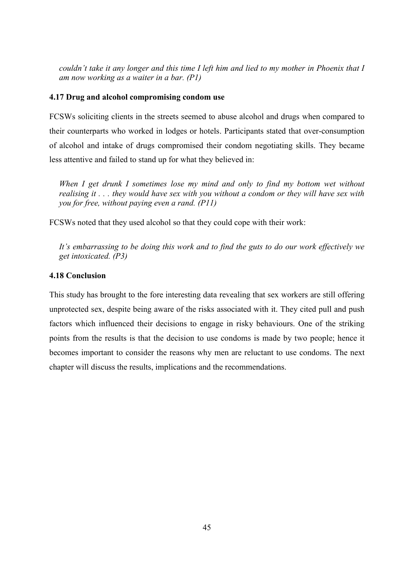*couldn't take it any longer and this time I left him and lied to my mother in Phoenix that I am now working as a waiter in a bar. (P1)* 

### <span id="page-53-0"></span>**4.17 Drug and alcohol compromising condom use**

FCSWs soliciting clients in the streets seemed to abuse alcohol and drugs when compared to their counterparts who worked in lodges or hotels. Participants stated that over-consumption of alcohol and intake of drugs compromised their condom negotiating skills. They became less attentive and failed to stand up for what they believed in:

*When I get drunk I sometimes lose my mind and only to find my bottom wet without realising it . . . they would have sex with you without a condom or they will have sex with you for free, without paying even a rand. (P11)* 

FCSWs noted that they used alcohol so that they could cope with their work:

*It's embarrassing to be doing this work and to find the guts to do our work effectively we get intoxicated. (P3)*

### <span id="page-53-1"></span>**4.18 Conclusion**

This study has brought to the fore interesting data revealing that sex workers are still offering unprotected sex, despite being aware of the risks associated with it. They cited pull and push factors which influenced their decisions to engage in risky behaviours. One of the striking points from the results is that the decision to use condoms is made by two people; hence it becomes important to consider the reasons why men are reluctant to use condoms. The next chapter will discuss the results, implications and the recommendations.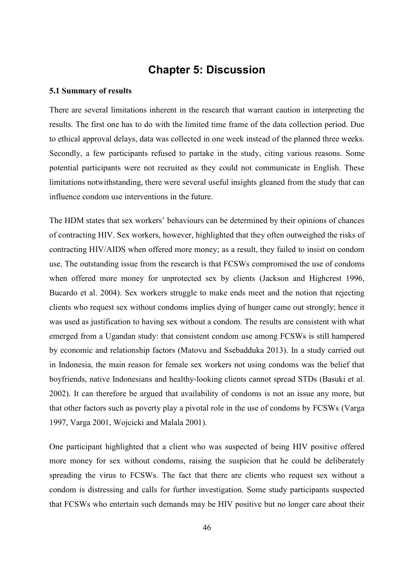## **Chapter 5: Discussion**

#### <span id="page-54-1"></span><span id="page-54-0"></span>**5.1 Summary of results**

There are several limitations inherent in the research that warrant caution in interpreting the results. The first one has to do with the limited time frame of the data collection period. Due to ethical approval delays, data was collected in one week instead of the planned three weeks. Secondly, a few participants refused to partake in the study, citing various reasons. Some potential participants were not recruited as they could not communicate in English. These limitations notwithstanding, there were several useful insights gleaned from the study that can influence condom use interventions in the future.

The HDM states that sex workers' behaviours can be determined by their opinions of chances of contracting HIV. Sex workers, however, highlighted that they often outweighed the risks of contracting HIV/AIDS when offered more money; as a result, they failed to insist on condom use. The outstanding issue from the research is that FCSWs compromised the use of condoms when offered more money for unprotected sex by clients [\(Jackson and Highcrest 1996,](#page-61-6) [Bucardo et al. 2004\)](#page-60-3). Sex workers struggle to make ends meet and the notion that rejecting clients who request sex without condoms implies dying of hunger came out strongly; hence it was used as justification to having sex without a condom. The results are consistent with what emerged from a Ugandan study: that consistent condom use among FCSWs is still hampered by economic and relationship factors [\(Matovu and Ssebadduka 2013\)](#page-62-8). In a study carried out in Indonesia, the main reason for female sex workers not using condoms was the belief that boyfriends, native Indonesians and healthy-looking clients cannot spread STDs [\(Basuki et al.](#page-59-2)  [2002\)](#page-59-2). It can therefore be argued that availability of condoms is not an issue any more, but that other factors such as poverty play a pivotal role in the use of condoms by FCSWs [\(Varga](#page-65-3)  [1997,](#page-65-3) [Varga 2001,](#page-65-5) Wojcicki and Malala 2001).

One participant highlighted that a client who was suspected of being HIV positive offered more money for sex without condoms, raising the suspicion that he could be deliberately spreading the virus to FCSWs. The fact that there are clients who request sex without a condom is distressing and calls for further investigation. Some study participants suspected that FCSWs who entertain such demands may be HIV positive but no longer care about their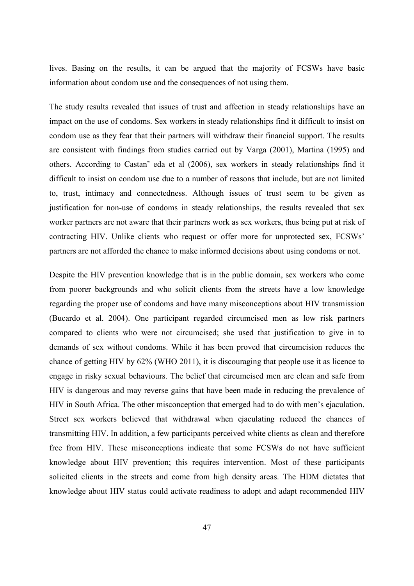lives. Basing on the results, it can be argued that the majority of FCSWs have basic information about condom use and the consequences of not using them.

The study results revealed that issues of trust and affection in steady relationships have an impact on the use of condoms. Sex workers in steady relationships find it difficult to insist on condom use as they fear that their partners will withdraw their financial support. The results are consistent with findings from studies carried out by Varga (2001), Martina (1995) and others. According to Castan˜ eda et al (2006), sex workers in steady relationships find it difficult to insist on condom use due to a number of reasons that include, but are not limited to, trust, intimacy and connectedness. Although issues of trust seem to be given as justification for non-use of condoms in steady relationships, the results revealed that sex worker partners are not aware that their partners work as sex workers, thus being put at risk of contracting HIV. Unlike clients who request or offer more for unprotected sex, FCSWs' partners are not afforded the chance to make informed decisions about using condoms or not.

Despite the HIV prevention knowledge that is in the public domain, sex workers who come from poorer backgrounds and who solicit clients from the streets have a low knowledge regarding the proper use of condoms and have many misconceptions about HIV transmission [\(Bucardo et al. 2004\)](#page-60-3). One participant regarded circumcised men as low risk partners compared to clients who were not circumcised; she used that justification to give in to demands of sex without condoms. While it has been proved that circumcision reduces the chance of getting HIV by 62% (WHO 2011), it is discouraging that people use it as licence to engage in risky sexual behaviours. The belief that circumcised men are clean and safe from HIV is dangerous and may reverse gains that have been made in reducing the prevalence of HIV in South Africa. The other misconception that emerged had to do with men's ejaculation. Street sex workers believed that withdrawal when ejaculating reduced the chances of transmitting HIV. In addition, a few participants perceived white clients as clean and therefore free from HIV. These misconceptions indicate that some FCSWs do not have sufficient knowledge about HIV prevention; this requires intervention. Most of these participants solicited clients in the streets and come from high density areas. The HDM dictates that knowledge about HIV status could activate readiness to adopt and adapt recommended HIV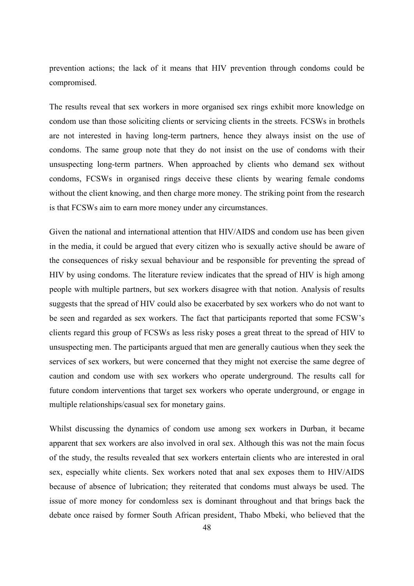prevention actions; the lack of it means that HIV prevention through condoms could be compromised.

The results reveal that sex workers in more organised sex rings exhibit more knowledge on condom use than those soliciting clients or servicing clients in the streets. FCSWs in brothels are not interested in having long-term partners, hence they always insist on the use of condoms. The same group note that they do not insist on the use of condoms with their unsuspecting long-term partners. When approached by clients who demand sex without condoms, FCSWs in organised rings deceive these clients by wearing female condoms without the client knowing, and then charge more money. The striking point from the research is that FCSWs aim to earn more money under any circumstances.

Given the national and international attention that HIV/AIDS and condom use has been given in the media, it could be argued that every citizen who is sexually active should be aware of the consequences of risky sexual behaviour and be responsible for preventing the spread of HIV by using condoms. The literature review indicates that the spread of HIV is high among people with multiple partners, but sex workers disagree with that notion. Analysis of results suggests that the spread of HIV could also be exacerbated by sex workers who do not want to be seen and regarded as sex workers. The fact that participants reported that some FCSW's clients regard this group of FCSWs as less risky poses a great threat to the spread of HIV to unsuspecting men. The participants argued that men are generally cautious when they seek the services of sex workers, but were concerned that they might not exercise the same degree of caution and condom use with sex workers who operate underground. The results call for future condom interventions that target sex workers who operate underground, or engage in multiple relationships/casual sex for monetary gains.

Whilst discussing the dynamics of condom use among sex workers in Durban, it became apparent that sex workers are also involved in oral sex. Although this was not the main focus of the study, the results revealed that sex workers entertain clients who are interested in oral sex, especially white clients. Sex workers noted that anal sex exposes them to HIV/AIDS because of absence of lubrication; they reiterated that condoms must always be used. The issue of more money for condomless sex is dominant throughout and that brings back the debate once raised by former South African president, Thabo Mbeki, who believed that the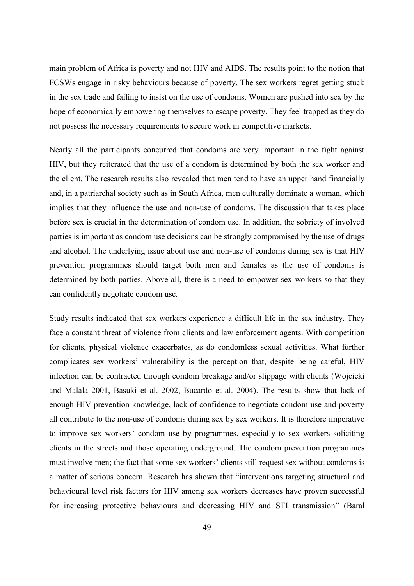main problem of Africa is poverty and not HIV and AIDS. The results point to the notion that FCSWs engage in risky behaviours because of poverty. The sex workers regret getting stuck in the sex trade and failing to insist on the use of condoms. Women are pushed into sex by the hope of economically empowering themselves to escape poverty. They feel trapped as they do not possess the necessary requirements to secure work in competitive markets.

Nearly all the participants concurred that condoms are very important in the fight against HIV, but they reiterated that the use of a condom is determined by both the sex worker and the client. The research results also revealed that men tend to have an upper hand financially and, in a patriarchal society such as in South Africa, men culturally dominate a woman, which implies that they influence the use and non-use of condoms. The discussion that takes place before sex is crucial in the determination of condom use. In addition, the sobriety of involved parties is important as condom use decisions can be strongly compromised by the use of drugs and alcohol. The underlying issue about use and non-use of condoms during sex is that HIV prevention programmes should target both men and females as the use of condoms is determined by both parties. Above all, there is a need to empower sex workers so that they can confidently negotiate condom use.

Study results indicated that sex workers experience a difficult life in the sex industry. They face a constant threat of violence from clients and law enforcement agents. With competition for clients, physical violence exacerbates, as do condomless sexual activities. What further complicates sex workers' vulnerability is the perception that, despite being careful, HIV infection can be contracted through condom breakage and/or slippage with clients (Wojcicki and Malala 2001, [Basuki et al. 2002,](#page-59-2) [Bucardo et al. 2004\)](#page-60-3). The results show that lack of enough HIV prevention knowledge, lack of confidence to negotiate condom use and poverty all contribute to the non-use of condoms during sex by sex workers. It is therefore imperative to improve sex workers' condom use by programmes, especially to sex workers soliciting clients in the streets and those operating underground. The condom prevention programmes must involve men; the fact that some sex workers' clients still request sex without condoms is a matter of serious concern. Research has shown that "interventions targeting structural and behavioural level risk factors for HIV among sex workers decreases have proven successful for increasing protective behaviours and decreasing HIV and STI transmission" (Baral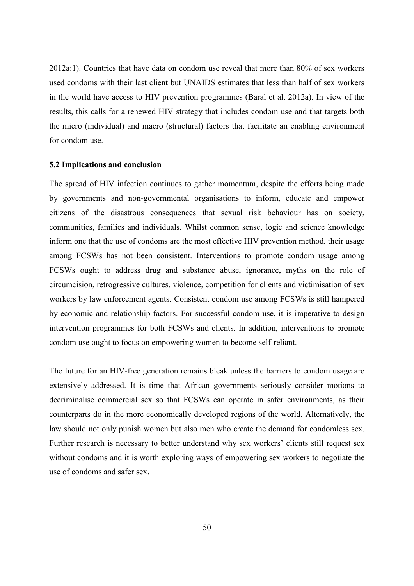2012a:1). Countries that have data on condom use reveal that more than 80% of sex workers used condoms with their last client but UNAIDS estimates that less than half of sex workers in the world have access to HIV prevention programmes [\(Baral et al. 2012a\)](#page-61-0). In view of the results, this calls for a renewed HIV strategy that includes condom use and that targets both the micro (individual) and macro (structural) factors that facilitate an enabling environment for condom use.

### <span id="page-58-0"></span>**5.2 Implications and conclusion**

The spread of HIV infection continues to gather momentum, despite the efforts being made by governments and non-governmental organisations to inform, educate and empower citizens of the disastrous consequences that sexual risk behaviour has on society, communities, families and individuals. Whilst common sense, logic and science knowledge inform one that the use of condoms are the most effective HIV prevention method, their usage among FCSWs has not been consistent. Interventions to promote condom usage among FCSWs ought to address drug and substance abuse, ignorance, myths on the role of circumcision, retrogressive cultures, violence, competition for clients and victimisation of sex workers by law enforcement agents. Consistent condom use among FCSWs is still hampered by economic and relationship factors. For successful condom use, it is imperative to design intervention programmes for both FCSWs and clients. In addition, interventions to promote condom use ought to focus on empowering women to become self-reliant.

The future for an HIV-free generation remains bleak unless the barriers to condom usage are extensively addressed. It is time that African governments seriously consider motions to decriminalise commercial sex so that FCSWs can operate in safer environments, as their counterparts do in the more economically developed regions of the world. Alternatively, the law should not only punish women but also men who create the demand for condomless sex. Further research is necessary to better understand why sex workers' clients still request sex without condoms and it is worth exploring ways of empowering sex workers to negotiate the use of condoms and safer sex.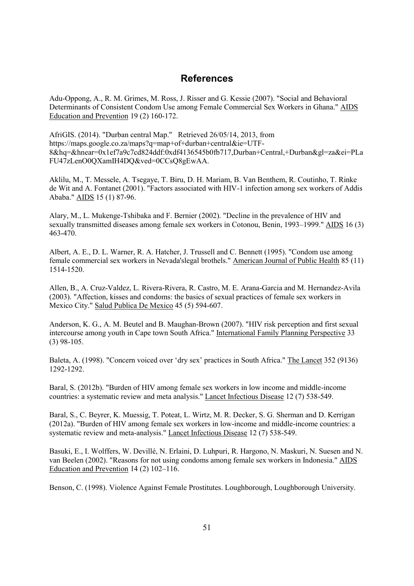## **References**

<span id="page-59-3"></span><span id="page-59-0"></span>Adu-Oppong, A., R. M. Grimes, M. Ross, J. Risser and G. Kessie (2007). "Social and Behavioral Determinants of Consistent Condom Use among Female Commercial Sex Workers in Ghana." AIDS Education and Prevention 19 (2) 160-172.

AfriGIS. (2014). "Durban central Map." Retrieved 26/05/14, 2013, from https://maps.google.co.za/maps?q=map+of+durban+central&ie=UTF-8&hq=&hnear=0x1ef7a9c7cd824ddf:0xdf4136545b0fb717,Durban+Central,+Durban&gl=za&ei=PLa FU47zLenO0QXamIH4DQ&ved=0CCsQ8gEwAA.

<span id="page-59-1"></span>Aklilu, M., T. Messele, A. Tsegaye, T. Biru, D. H. Mariam, B. Van Benthem, R. Coutinho, T. Rinke de Wit and A. Fontanet (2001). "Factors associated with HIV-1 infection among sex workers of Addis Ababa." AIDS 15 (1) 87-96.

<span id="page-59-4"></span>Alary, M., L. Mukenge-Tshibaka and F. Bernier (2002). "Decline in the prevalence of HIV and sexually transmitted diseases among female sex workers in Cotonou, Benin, 1993–1999." AIDS 16 (3) 463-470.

Albert, A. E., D. L. Warner, R. A. Hatcher, J. Trussell and C. Bennett (1995). "Condom use among female commercial sex workers in Nevada'slegal brothels." American Journal of Public Health 85 (11) 1514-1520.

<span id="page-59-5"></span>Allen, B., A. Cruz-Valdez, L. Rivera-Rivera, R. Castro, M. E. Arana-Garcia and M. Hernandez-Avila (2003). "Affection, kisses and condoms: the basics of sexual practices of female sex workers in Mexico City." Salud Publica De Mexico 45 (5) 594-607.

Anderson, K. G., A. M. Beutel and B. Maughan-Brown (2007). "HIV risk perception and first sexual intercourse among youth in Cape town South Africa." International Family Planning Perspective 33 (3) 98-105.

<span id="page-59-6"></span>Baleta, A. (1998). "Concern voiced over 'dry sex' practices in South Africa." The Lancet 352 (9136) 1292-1292.

<span id="page-59-2"></span>Baral, S. (2012b). "Burden of HIV among female sex workers in low income and middle-income countries: a systematic review and meta analysis." Lancet Infectious Disease 12 (7) 538-549.

Baral, S., C. Beyrer, K. Muessig, T. Poteat, L. Wirtz, M. R. Decker, S. G. Sherman and D. Kerrigan (2012a). "Burden of HIV among female sex workers in low-income and middle-income countries: a systematic review and meta-analysis." Lancet Infectious Disease 12 (7) 538-549.

<span id="page-59-7"></span>Basuki, E., I. Wolffers, W. Devillé, N. Erlaini, D. Luhpuri, R. Hargono, N. Maskuri, N. Suesen and N. van Beelen (2002). "Reasons for not using condoms among female sex workers in Indonesia." AIDS Education and Prevention 14 (2) 102–116.

Benson, C. (1998). Violence Against Female Prostitutes. Loughborough, Loughborough University.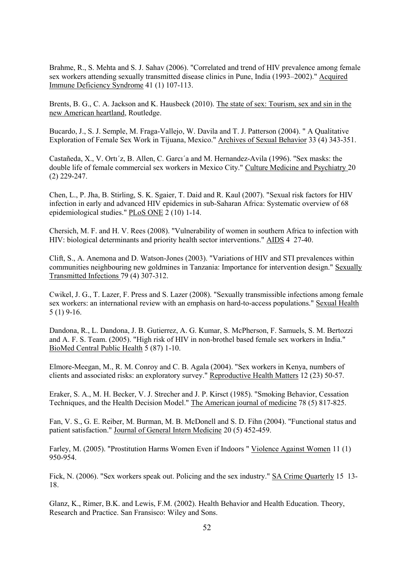<span id="page-60-3"></span>Brahme, R., S. Mehta and S. J. Sahav (2006). "Correlated and trend of HIV prevalence among female sex workers attending sexually transmitted disease clinics in Pune, India (1993–2002)." Acquired Immune Deficiency Syndrome 41 (1) 107-113.

Brents, B. G., C. A. Jackson and K. Hausbeck (2010). The state of sex: Tourism, sex and sin in the new American heartland, Routledge.

Bucardo, J., S. J. Semple, M. Fraga-Vallejo, W. Davila and T. J. Patterson (2004). " A Qualitative Exploration of Female Sex Work in Tijuana, Mexico." Archives of Sexual Behavior 33 (4) 343-351.

<span id="page-60-0"></span>Castañeda, X., V. Ortı´z, B. Allen, C. Garcı´a and M. Hernandez-Avila (1996). "Sex masks: the double life of female commercial sex workers in Mexico City." Culture Medicine and Psychiatry 20 (2) 229-247.

Chen, L., P. Jha, B. Stirling, S. K. Sgaier, T. Daid and R. Kaul (2007). "Sexual risk factors for HIV infection in early and advanced HIV epidemics in sub-Saharan Africa: Systematic overview of 68 epidemiological studies." PLoS ONE 2 (10) 1-14.

<span id="page-60-5"></span>Chersich, M. F. and H. V. Rees (2008). "Vulnerability of women in southern Africa to infection with HIV: biological determinants and priority health sector interventions." AIDS 4 27-40.

<span id="page-60-6"></span>Clift, S., A. Anemona and D. Watson-Jones (2003). "Variations of HIV and STI prevalences within communities neighbouring new goldmines in Tanzania: Importance for intervention design." Sexually Transmitted Infections 79 (4) 307-312.

<span id="page-60-8"></span>Cwikel, J. G., T. Lazer, F. Press and S. Lazer (2008). "Sexually transmissible infections among female sex workers: an international review with an emphasis on hard-to-access populations." Sexual Health 5 (1) 9-16.

Dandona, R., L. Dandona, J. B. Gutierrez, A. G. Kumar, S. McPherson, F. Samuels, S. M. Bertozzi and A. F. S. Team. (2005). "High risk of HIV in non-brothel based female sex workers in India." BioMed Central Public Health 5 (87) 1-10.

<span id="page-60-4"></span>Elmore-Meegan, M., R. M. Conroy and C. B. Agala (2004). "Sex workers in Kenya, numbers of clients and associated risks: an exploratory survey." Reproductive Health Matters 12 (23) 50-57.

<span id="page-60-2"></span>Eraker, S. A., M. H. Becker, V. J. Strecher and J. P. Kirsct (1985). "Smoking Behavior, Cessation Techniques, and the Health Decision Model." The American journal of medicine 78 (5) 817-825.

<span id="page-60-1"></span>Fan, V. S., G. E. Reiber, M. Burman, M. B. McDonell and S. D. Fihn (2004). "Functional status and patient satisfaction." Journal of General Intern Medicine 20 (5) 452-459.

<span id="page-60-7"></span>Farley, M. (2005). "Prostitution Harms Women Even if Indoors " Violence Against Women 11 (1) 950-954.

Fick, N. (2006). "Sex workers speak out. Policing and the sex industry." SA Crime Quarterly 15 13- 18.

Glanz, K., Rimer, B.K. and Lewis, F.M. (2002). Health Behavior and Health Education. Theory, Research and Practice. San Fransisco: Wiley and Sons.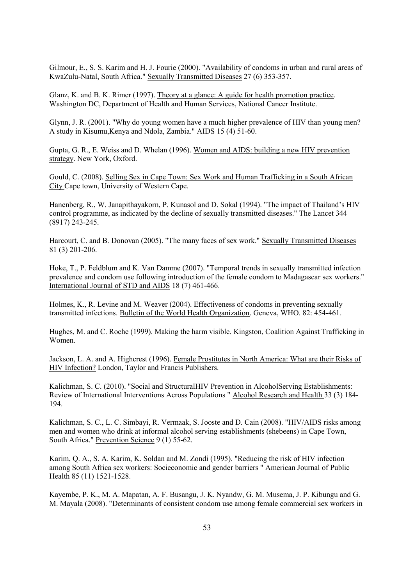<span id="page-61-1"></span>Gilmour, E., S. S. Karim and H. J. Fourie (2000). "Availability of condoms in urban and rural areas of KwaZulu-Natal, South Africa." Sexually Transmitted Diseases 27 (6) 353-357.

<span id="page-61-3"></span>Glanz, K. and B. K. Rimer (1997). Theory at a glance: A guide for health promotion practice. Washington DC, Department of Health and Human Services, National Cancer Institute.

Glynn, J. R. (2001). "Why do young women have a much higher prevalence of HIV than young men? A study in Kisumu,Kenya and Ndola, Zambia." AIDS 15 (4) 51-60.

Gupta, G. R., E. Weiss and D. Whelan (1996). Women and AIDS: building a new HIV prevention strategy. New York, Oxford.

<span id="page-61-2"></span>Gould, C. (2008). Selling Sex in Cape Town: Sex Work and Human Trafficking in a South African City Cape town, University of Western Cape.

<span id="page-61-5"></span>Hanenberg, R., W. Janapithayakorn, P. Kunasol and D. Sokal (1994). "The impact of Thailand's HIV control programme, as indicated by the decline of sexually transmitted diseases." The Lancet 344 (8917) 243-245.

<span id="page-61-0"></span>Harcourt, C. and B. Donovan (2005). "The many faces of sex work." Sexually Transmitted Diseases 81 (3) 201-206.

Hoke, T., P. Feldblum and K. Van Damme (2007). "Temporal trends in sexually transmitted infection prevalence and condom use following introduction of the female condom to Madagascar sex workers." International Journal of STD and AIDS 18 (7) 461-466.

Holmes, K., R. Levine and M. Weaver (2004). Effectiveness of condoms in preventing sexually transmitted infections. Bulletin of the World Health Organization. Geneva, WHO. 82: 454-461.

<span id="page-61-6"></span>Hughes, M. and C. Roche (1999). Making the harm visible. Kingston, Coalition Against Trafficking in Women.

Jackson, L. A. and A. Highcrest (1996). Female Prostitutes in North America: What are their Risks of HIV Infection? London, Taylor and Francis Publishers.

<span id="page-61-8"></span>Kalichman, S. C. (2010). "Social and StructuralHIV Prevention in AlcoholServing Establishments: Review of International Interventions Across Populations " Alcohol Research and Health 33 (3) 184- 194.

Kalichman, S. C., L. C. Simbayi, R. Vermaak, S. Jooste and D. Cain (2008). "HIV/AIDS risks among men and women who drink at informal alcohol serving establishments (shebeens) in Cape Town, South Africa." Prevention Science 9 (1) 55-62.

<span id="page-61-4"></span>Karim, Q. A., S. A. Karim, K. Soldan and M. Zondi (1995). "Reducing the risk of HIV infection among South Africa sex workers: Socieconomic and gender barriers " American Journal of Public Health 85 (11) 1521-1528.

<span id="page-61-7"></span>Kayembe, P. K., M. A. Mapatan, A. F. Busangu, J. K. Nyandw, G. M. Musema, J. P. Kibungu and G. M. Mayala (2008). "Determinants of consistent condom use among female commercial sex workers in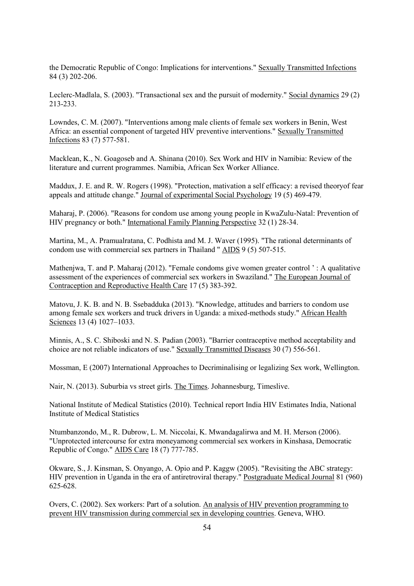the Democratic Republic of Congo: Implications for interventions." Sexually Transmitted Infections 84 (3) 202-206.

Leclerc-Madlala, S. (2003). "Transactional sex and the pursuit of modernity." Social dynamics 29 (2) 213-233.

<span id="page-62-7"></span>Lowndes, C. M. (2007). "Interventions among male clients of female sex workers in Benin, West Africa: an essential component of targeted HIV preventive interventions." Sexually Transmitted Infections 83 (7) 577-581.

<span id="page-62-1"></span>Macklean, K., N. Goagoseb and A. Shinana (2010). Sex Work and HIV in Namibia: Review of the literature and current programmes. Namibia, African Sex Worker Alliance.

Maddux, J. E. and R. W. Rogers (1998). "Protection, mativation a self efficacy: a revised theoryof fear appeals and attitude change." Journal of experimental Social Psychology 19 (5) 469-479.

<span id="page-62-6"></span>Maharaj, P. (2006). "Reasons for condom use among young people in KwaZulu-Natal: Prevention of HIV pregnancy or both." International Family Planning Perspective 32 (1) 28-34.

<span id="page-62-4"></span>Martina, M., A. Pramualratana, C. Podhista and M. J. Waver (1995). "The rational determinants of condom use with commercial sex partners in Thailand " AIDS 9 (5) 507-515.

<span id="page-62-2"></span>Mathenjwa, T. and P. Maharaj (2012). "Female condoms give women greater control ': A qualitative assessment of the experiences of commercial sex workers in Swaziland." The European Journal of Contraception and Reproductive Health Care 17 (5) 383-392.

<span id="page-62-8"></span>Matovu, J. K. B. and N. B. Ssebadduka (2013). "Knowledge, attitudes and barriers to condom use among female sex workers and truck drivers in Uganda: a mixed-methods study." African Health Sciences 13 (4) 1027-1033.

<span id="page-62-3"></span>Minnis, A., S. C. Shiboski and N. S. Padian (2003). "Barrier contraceptive method acceptability and choice are not reliable indicators of use." Sexually Transmitted Diseases 30 (7) 556-561.

Mossman, E (2007) International Approaches to Decriminalising or legalizing Sex work, Wellington.

Nair, N. (2013). Suburbia vs street girls. The Times. Johannesburg, Timeslive.

National Institute of Medical Statistics (2010). Technical report India HIV Estimates India, National Institute of Medical Statistics

<span id="page-62-5"></span>Ntumbanzondo, M., R. Dubrow, L. M. Niccolai, K. Mwandagalirwa and M. H. Merson (2006). "Unprotected intercourse for extra moneyamong commercial sex workers in Kinshasa, Democratic Republic of Congo." AIDS Care 18 (7) 777-785.

<span id="page-62-0"></span>Okware, S., J. Kinsman, S. Onyango, A. Opio and P. Kaggw (2005). "Revisiting the ABC strategy: HIV prevention in Uganda in the era of antiretroviral therapy." Postgraduate Medical Journal 81 (960) 625-628.

Overs, C. (2002). Sex workers: Part of a solution. An analysis of HIV prevention programming to prevent HIV transmission during commercial sex in developing countries. Geneva, WHO.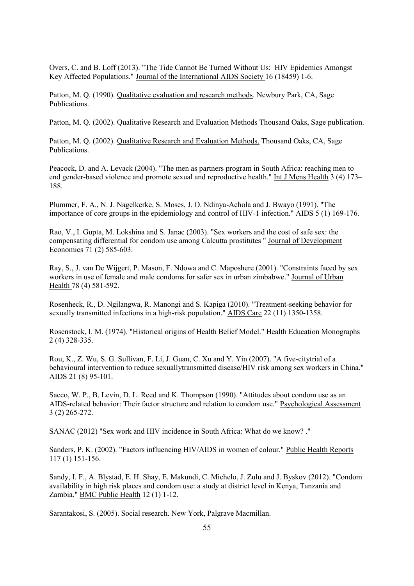<span id="page-63-2"></span>Overs, C. and B. Loff (2013). "The Tide Cannot Be Turned Without Us: HIV Epidemics Amongst Key Affected Populations." Journal of the International AIDS Society 16 (18459) 1-6.

Patton, M. Q. (1990). Qualitative evaluation and research methods. Newbury Park, CA, Sage Publications.

Patton, M. Q. (2002). Qualitative Research and Evaluation Methods Thousand Oaks, Sage publication.

<span id="page-63-9"></span>Patton, M. Q. (2002). Qualitative Research and Evaluation Methods. Thousand Oaks, CA, Sage Publications.

<span id="page-63-0"></span>Peacock, D. and A. Levack (2004). "The men as partners program in South Africa: reaching men to end gender-based violence and promote sexual and reproductive health." Int J Mens Health 3 (4) 173– 188.

Plummer, F. A., N. J. Nagelkerke, S. Moses, J. O. Ndinya-Achola and J. Bwayo (1991). "The importance of core groups in the epidemiology and control of HIV-1 infection." AIDS 5 (1) 169-176.

<span id="page-63-4"></span>Rao, V., I. Gupta, M. Lokshina and S. Janac (2003). "Sex workers and the cost of safe sex: the compensating differential for condom use among Calcutta prostitutes " Journal of Development Economics 71 (2) 585-603.

<span id="page-63-5"></span>Ray, S., J. van De Wijgert, P. Mason, F. Ndowa and C. Maposhere (2001). "Constraints faced by sex workers in use of female and male condoms for safer sex in urban zimbabwe." Journal of Urban Health 78 (4) 581-592.

Rosenheck, R., D. Ngilangwa, R. Manongi and S. Kapiga (2010). "Treatment-seeking behavior for sexually transmitted infections in a high-risk population." AIDS Care 22 (11) 1350-1358.

<span id="page-63-6"></span>Rosenstock, I. M. (1974). "Historical origins of Health Belief Model." Health Education Monographs 2 (4) 328-335.

Rou, K., Z. Wu, S. G. Sullivan, F. Li, J. Guan, C. Xu and Y. Yin (2007). "A five-citytrial of a behavioural intervention to reduce sexuallytransmitted disease/HIV risk among sex workers in China." AIDS 21 (8) 95-101.

<span id="page-63-7"></span>Sacco, W. P., B. Levin, D. L. Reed and K. Thompson (1990). "Attitudes about condom use as an AIDS-related behavior: Their factor structure and relation to condom use." Psychological Assessment 3 (2) 265-272.

<span id="page-63-1"></span>SANAC (2012) "Sex work and HIV incidence in South Africa: What do we know? ."

<span id="page-63-8"></span>Sanders, P. K. (2002). "Factors influencing HIV/AIDS in women of colour." Public Health Reports 117 (1) 151-156.

Sandy, I. F., A. Blystad, E. H. Shay, E. Makundi, C. Michelo, J. Zulu and J. Byskov (2012). "Condom availability in high risk places and condom use: a study at district level in Kenya, Tanzania and Zambia." BMC Public Health 12 (1) 1-12.

<span id="page-63-3"></span>Sarantakosi, S. (2005). Social research. New York, Palgrave Macmillan.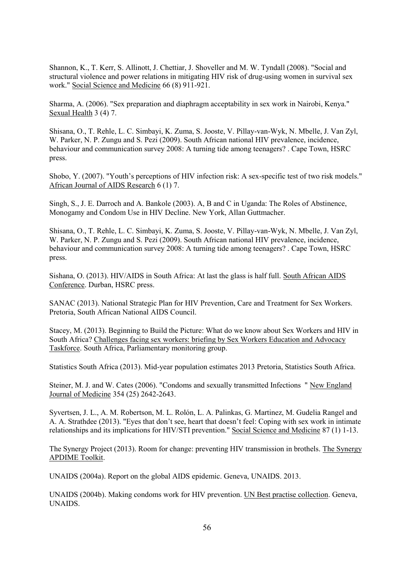<span id="page-64-3"></span>Shannon, K., T. Kerr, S. Allinott, J. Chettiar, J. Shoveller and M. W. Tyndall (2008). "Social and structural violence and power relations in mitigating HIV risk of drug-using women in survival sex work." Social Science and Medicine 66 (8) 911-921.

<span id="page-64-7"></span>Sharma, A. (2006). "Sex preparation and diaphragm acceptability in sex work in Nairobi, Kenya." Sexual Health 3 (4) 7.

<span id="page-64-6"></span>Shisana, O., T. Rehle, L. C. Simbayi, K. Zuma, S. Jooste, V. Pillay-van-Wyk, N. Mbelle, J. Van Zyl, W. Parker, N. P. Zungu and S. Pezi (2009). South African national HIV prevalence, incidence, behaviour and communication survey 2008: A turning tide among teenagers? . Cape Town, HSRC press.

Shobo, Y. (2007). "Youth's perceptions of HIV infection risk: A sex-specific test of two risk models." African Journal of AIDS Research 6 (1) 7.

<span id="page-64-5"></span>Singh, S., J. E. Darroch and A. Bankole (2003). A, B and C in Uganda: The Roles of Abstinence, Monogamy and Condom Use in HIV Decline. New York, Allan Guttmacher.

Shisana, O., T. Rehle, L. C. Simbayi, K. Zuma, S. Jooste, V. Pillay-van-Wyk, N. Mbelle, J. Van Zyl, W. Parker, N. P. Zungu and S. Pezi (2009). South African national HIV prevalence, incidence, behaviour and communication survey 2008: A turning tide among teenagers? . Cape Town, HSRC press.

Sishana, O. (2013). HIV/AIDS in South Africa: At last the glass is half full. South African AIDS Conference. Durban, HSRC press.

<span id="page-64-1"></span>SANAC (2013). National Strategic Plan for HIV Prevention, Care and Treatment for Sex Workers. Pretoria, South African National AIDS Council.

Stacey, M. (2013). Beginning to Build the Picture: What do we know about Sex Workers and HIV in South Africa? Challenges facing sex workers: briefing by Sex Workers Education and Advocacy Taskforce. South Africa, Parliamentary monitoring group.

<span id="page-64-8"></span>Statistics South Africa (2013). Mid-year population estimates 2013 Pretoria, Statistics South Africa.

Steiner, M. J. and W. Cates (2006). "Condoms and sexually transmitted Infections " New England Journal of Medicine 354 (25) 2642-2643.

<span id="page-64-2"></span>Syvertsen, J. L., A. M. Robertson, M. L. Rolón, L. A. Palinkas, G. Martinez, M. Gudelia Rangel and A. A. Strathdee (2013). "Eyes that don't see, heart that doesn't feel: Coping with sex work in intimate relationships and its implications for HIV/STI prevention." Social Science and Medicine 87 (1) 1-13.

<span id="page-64-4"></span>The Synergy Project (2013). Room for change: preventing HIV transmission in brothels. The Synergy APDIME Toolkit.

<span id="page-64-0"></span>UNAIDS (2004a). Report on the global AIDS epidemic. Geneva, UNAIDS. 2013.

UNAIDS (2004b). Making condoms work for HIV prevention. UN Best practise collection. Geneva, UNAIDS.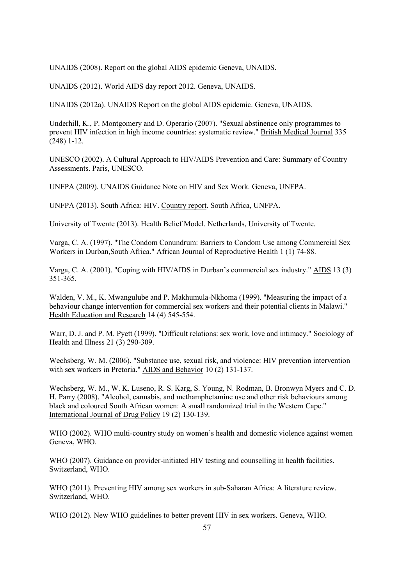UNAIDS (2008). Report on the global AIDS epidemic Geneva, UNAIDS.

UNAIDS (2012). World AIDS day report 2012. Geneva, UNAIDS.

UNAIDS (2012a). UNAIDS Report on the global AIDS epidemic. Geneva, UNAIDS.

<span id="page-65-6"></span>Underhill, K., P. Montgomery and D. Operario (2007). "Sexual abstinence only programmes to prevent HIV infection in high income countries: systematic review." British Medical Journal 335 (248) 1-12.

<span id="page-65-7"></span>UNESCO (2002). A Cultural Approach to HIV/AIDS Prevention and Care: Summary of Country Assessments. Paris, UNESCO.

UNFPA (2009). UNAIDS Guidance Note on HIV and Sex Work. Geneva, UNFPA.

<span id="page-65-4"></span>UNFPA (2013). South Africa: HIV. Country report. South Africa, UNFPA.

<span id="page-65-3"></span>University of Twente (2013). Health Belief Model. Netherlands, University of Twente.

Varga, C. A. (1997). "The Condom Conundrum: Barriers to Condom Use among Commercial Sex Workers in Durban,South Africa." African Journal of Reproductive Health 1 (1) 74-88.

<span id="page-65-5"></span>Varga, C. A. (2001). "Coping with HIV/AIDS in Durban's commercial sex industry." AIDS 13 (3) 351-365.

<span id="page-65-8"></span>Walden, V. M., K. Mwangulube and P. Makhumula-Nkhoma (1999). "Measuring the impact of a behaviour change intervention for commercial sex workers and their potential clients in Malawi." Health Education and Research 14 (4) 545-554.

<span id="page-65-11"></span>Warr, D. J. and P. M. Pyett (1999). "Difficult relations: sex work, love and intimacy." Sociology of Health and Illness 21 (3) 290-309.

Wechsberg, W. M. (2006). "Substance use, sexual risk, and violence: HIV prevention intervention with sex workers in Pretoria." AIDS and Behavior 10 (2) 131-137.

<span id="page-65-9"></span>Wechsberg, W. M., W. K. Luseno, R. S. Karg, S. Young, N. Rodman, B. Bronwyn Myers and C. D. H. Parry (2008). "Alcohol, cannabis, and methamphetamine use and other risk behaviours among black and coloured South African women: A small randomized trial in the Western Cape." International Journal of Drug Policy 19 (2) 130-139.

<span id="page-65-10"></span>WHO (2002). WHO multi-country study on women's health and domestic violence against women Geneva, WHO.

<span id="page-65-1"></span>WHO (2007). Guidance on provider-initiated HIV testing and counselling in health facilities. Switzerland, WHO.

<span id="page-65-0"></span>WHO (2011). Preventing HIV among sex workers in sub-Saharan Africa: A literature review. Switzerland, WHO.

<span id="page-65-2"></span>WHO (2012). New WHO guidelines to better prevent HIV in sex workers. Geneva, WHO.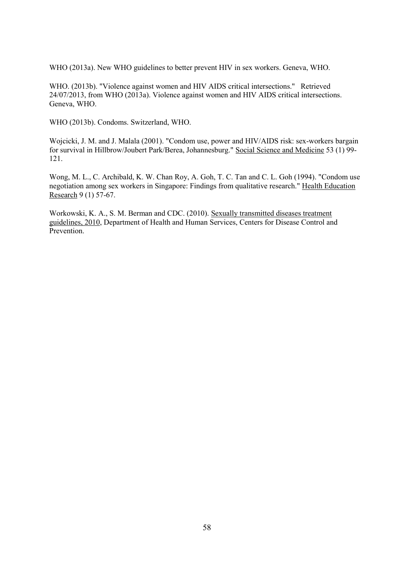<span id="page-66-0"></span>WHO (2013a). New WHO guidelines to better prevent HIV in sex workers. Geneva, WHO.

<span id="page-66-1"></span>WHO. (2013b). "Violence against women and HIV AIDS critical intersections." Retrieved 24/07/2013, from WHO (2013a). Violence against women and HIV AIDS critical intersections. Geneva, WHO.

WHO (2013b). Condoms. Switzerland, WHO.

Wojcicki, J. M. and J. Malala (2001). "Condom use, power and HIV/AIDS risk: sex-workers bargain for survival in Hillbrow/Joubert Park/Berea, Johannesburg." Social Science and Medicine 53 (1) 99- 121.

Wong, M. L., C. Archibald, K. W. Chan Roy, A. Goh, T. C. Tan and C. L. Goh (1994). "Condom use negotiation among sex workers in Singapore: Findings from qualitative research." Health Education Research 9 (1) 57-67.

Workowski, K. A., S. M. Berman and CDC. (2010). Sexually transmitted diseases treatment guidelines, 2010, Department of Health and Human Services, Centers for Disease Control and Prevention.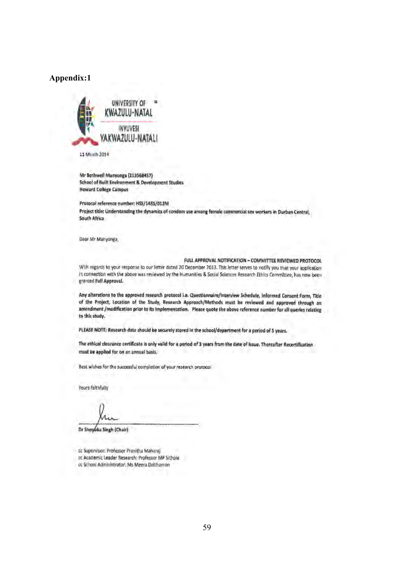### **Appendix:1**



11 March 2014

Mr Bothwell Manyongs (213568457) School of Built Environment & Development Studies **Howard Collège Campus** 

Protocol reference number: HS5/1481/013M Project title: Understanding the dynamics of condom use among female commercial sea workers in Durban Central, South Africa

Dear Mr Manyonga,

#### FULL APPROVAL NOTIFICATION - COMMITTEE REVIEWED PROTOCOL

With regards to your response to our letter dated 20 December 2013. This letter serves to notliv you that your application In connection with the above was reviewed by the Humanities & Social Sciences Research Ethics Committee, has now been granted Full Approval.

Any alterations to the approved research protocol i.e. Questionnaire/Interview Schedule, Informed Consent Form, Title of the Project, Location of the Study, Research Approach/Methods must be reviewed and approved through an amendment / modification prior to its implementation. Please quote the above reference number for all queries relating to this study.

PLEASE NOTE: Research data should be securely stored in the school/department for a period of 5 years.

The ethical clearance certificate is only valid for a period of 3 years from the date of issue. Thereafter Recertification must be applied for on an annual basis.

Best wishes for the successful completion of your research protocol

Yours faithfully

Dr Shenuka Singh (Chair)

cc Supervisor: Professor Pranitha Maharaj or Academic Leader Research: Professor MP Sithole

cc School Administrator: Ms Meera Dalthaman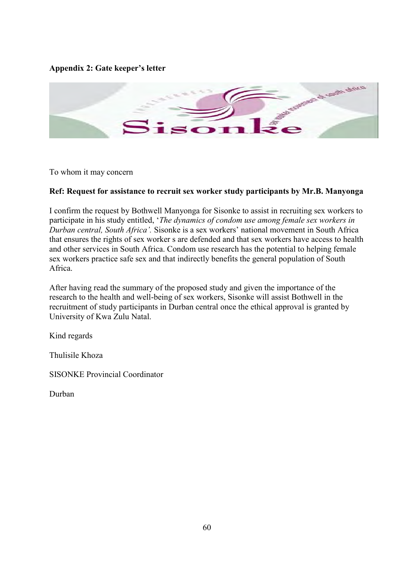## **Appendix 2: Gate keeper's letter**



To whom it may concern

### **Ref: Request for assistance to recruit sex worker study participants by Mr.B. Manyonga**

I confirm the request by Bothwell Manyonga for Sisonke to assist in recruiting sex workers to participate in his study entitled, '*The dynamics of condom use among female sex workers in Durban central, South Africa'.* Sisonke is a sex workers' national movement in South Africa that ensures the rights of sex worker s are defended and that sex workers have access to health and other services in South Africa. Condom use research has the potential to helping female sex workers practice safe sex and that indirectly benefits the general population of South Africa.

After having read the summary of the proposed study and given the importance of the research to the health and well-being of sex workers, Sisonke will assist Bothwell in the recruitment of study participants in Durban central once the ethical approval is granted by University of Kwa Zulu Natal.

Kind regards

Thulisile Khoza

SISONKE Provincial Coordinator

Durban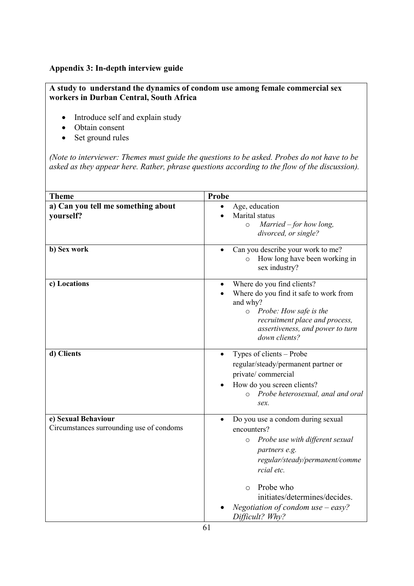## **Appendix 3: In-depth interview guide**

## **A study to understand the dynamics of condom use among female commercial sex workers in Durban Central, South Africa**

- Introduce self and explain study
- Obtain consent
- Set ground rules

*(Note to interviewer: Themes must guide the questions to be asked. Probes do not have to be asked as they appear here. Rather, phrase questions according to the flow of the discussion).*

| <b>Theme</b>                                                    | Probe                                                                                                                                                                                                                                                                              |
|-----------------------------------------------------------------|------------------------------------------------------------------------------------------------------------------------------------------------------------------------------------------------------------------------------------------------------------------------------------|
| a) Can you tell me something about<br>yourself?                 | Age, education<br>Marital status<br>Married $-$ for how long,<br>$\circ$<br>divorced, or single?                                                                                                                                                                                   |
| b) Sex work                                                     | Can you describe your work to me?<br>o How long have been working in<br>sex industry?                                                                                                                                                                                              |
| c) Locations                                                    | Where do you find clients?<br>٠<br>Where do you find it safe to work from<br>and why?<br>o Probe: How safe is the<br>recruitment place and process,<br>assertiveness, and power to turn<br>down clients?                                                                           |
| d) Clients                                                      | Types of clients – Probe<br>regular/steady/permanent partner or<br>private/commercial<br>How do you screen clients?<br>o Probe heterosexual, anal and oral<br>sex.                                                                                                                 |
| e) Sexual Behaviour<br>Circumstances surrounding use of condoms | Do you use a condom during sexual<br>encounters?<br>Probe use with different sexual<br>$\circ$<br>partners e.g.<br>regular/steady/permanent/comme<br>rcial etc.<br>Probe who<br>$\circ$<br>initiates/determines/decides.<br>Negotiation of condom use $-$ easy?<br>Difficult? Why? |